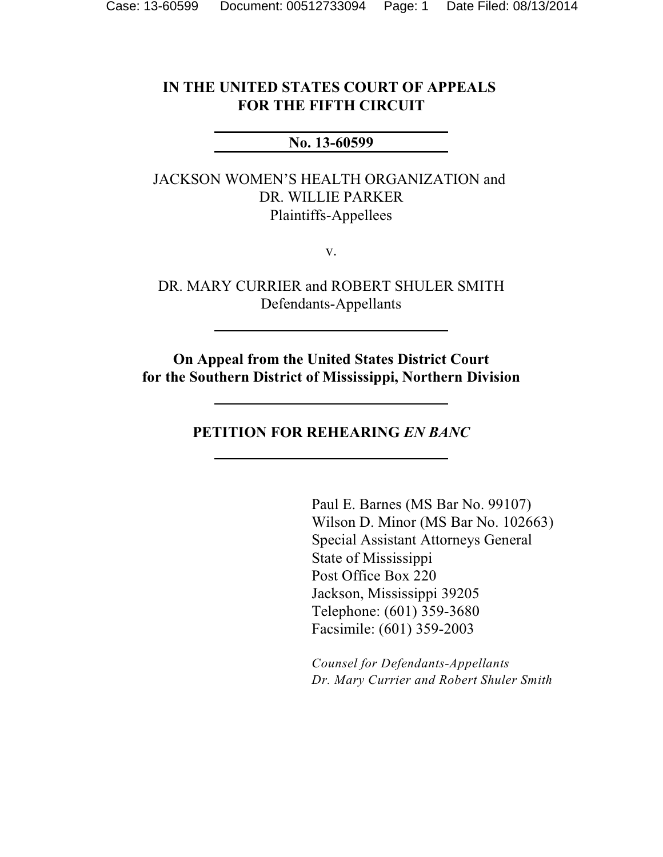### **IN THE UNITED STATES COURT OF APPEALS FOR THE FIFTH CIRCUIT**

### **No. 13-60599**

JACKSON WOMEN'S HEALTH ORGANIZATION and DR. WILLIE PARKER Plaintiffs-Appellees

v.

DR. MARY CURRIER and ROBERT SHULER SMITH Defendants-Appellants

**On Appeal from the United States District Court for the Southern District of Mississippi, Northern Division**

**PETITION FOR REHEARING** *EN BANC*

Paul E. Barnes (MS Bar No. 99107) Wilson D. Minor (MS Bar No. 102663) Special Assistant Attorneys General State of Mississippi Post Office Box 220 Jackson, [Mississippi 39205](http://www.westlaw.com/find/default.wl?rs=CLWP3.0&vr=2.0&cite=Miss.+Laws+39205) Telephone: (601) 359-3680 Facsimile: (601) 359-2003

*Counsel for Defendants-Appellants Dr. Mary Currier and Robert Shuler Smith*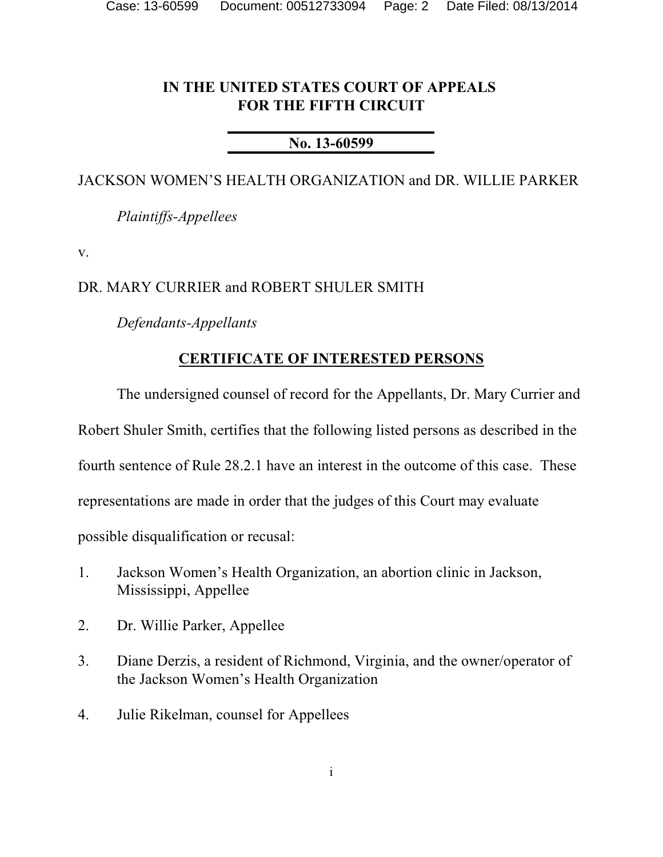### **IN THE UNITED STATES COURT OF APPEALS FOR THE FIFTH CIRCUIT**

### **No. 13-60599**

### JACKSON WOMEN'S HEALTH ORGANIZATION and DR. WILLIE PARKER

*Plaintiffs-Appellees*

v.

### DR. MARY CURRIER and ROBERT SHULER SMITH

*Defendants-Appellants*

### **CERTIFICATE OF INTERESTED PERSONS**

The undersigned counsel of record for the Appellants, Dr. Mary Currier and

Robert Shuler Smith, certifies that the following listed persons as described in the

fourth sentence of Rule 28.2.1 have an interest in the outcome of this case. These

representations are made in order that the judges of this Court may evaluate

possible disqualification or recusal:

- 1. Jackson Women's Health Organization, an abortion clinic in Jackson, Mississippi, Appellee
- 2. Dr. Willie Parker, Appellee
- 3. Diane Derzis, a resident of Richmond, Virginia, and the owner/operator of the Jackson Women's Health Organization
- 4. Julie Rikelman, counsel for Appellees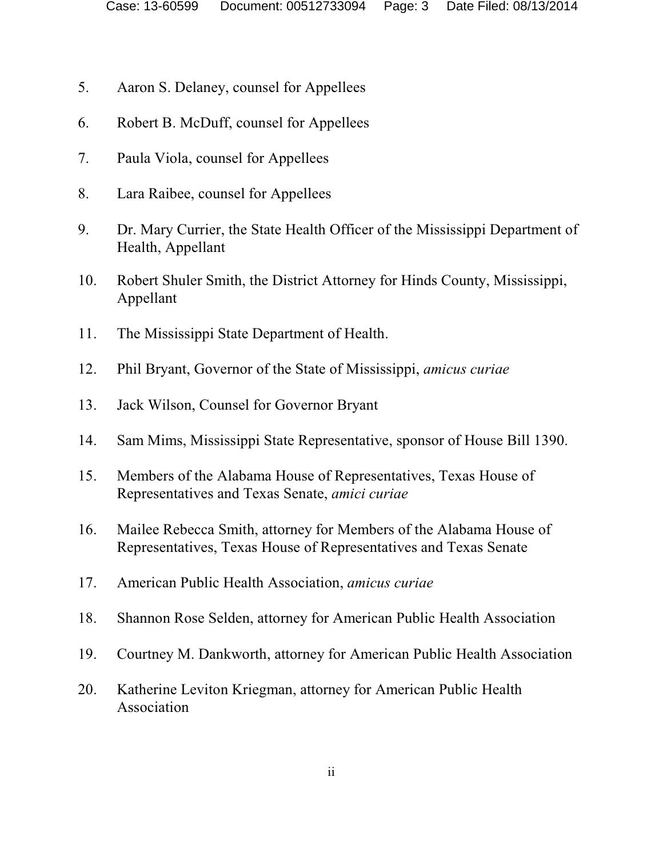- 5. Aaron S. Delaney, counsel for Appellees
- 6. Robert B. McDuff, counsel for Appellees
- 7. Paula Viola, counsel for Appellees
- 8. Lara Raibee, counsel for Appellees
- 9. Dr. Mary Currier, the State Health Officer of the Mississippi Department of Health, Appellant
- 10. Robert Shuler Smith, the District Attorney for Hinds County, Mississippi, Appellant
- 11. The Mississippi State Department of Health.
- 12. Phil Bryant, Governor of the State of Mississippi, *amicus curiae*
- 13. Jack Wilson, Counsel for Governor Bryant
- 14. Sam Mims, Mississippi State Representative, sponsor of House Bill 1390.
- 15. Members of the Alabama House of Representatives, Texas House of Representatives and Texas Senate, *amici curiae*
- 16. Mailee Rebecca Smith, attorney for Members of the Alabama House of Representatives, Texas House of Representatives and Texas Senate
- 17. American Public Health Association, *amicus curiae*
- 18. Shannon Rose Selden, attorney for American Public Health Association
- 19. Courtney M. Dankworth, attorney for American Public Health Association
- 20. Katherine Leviton Kriegman, attorney for American Public Health Association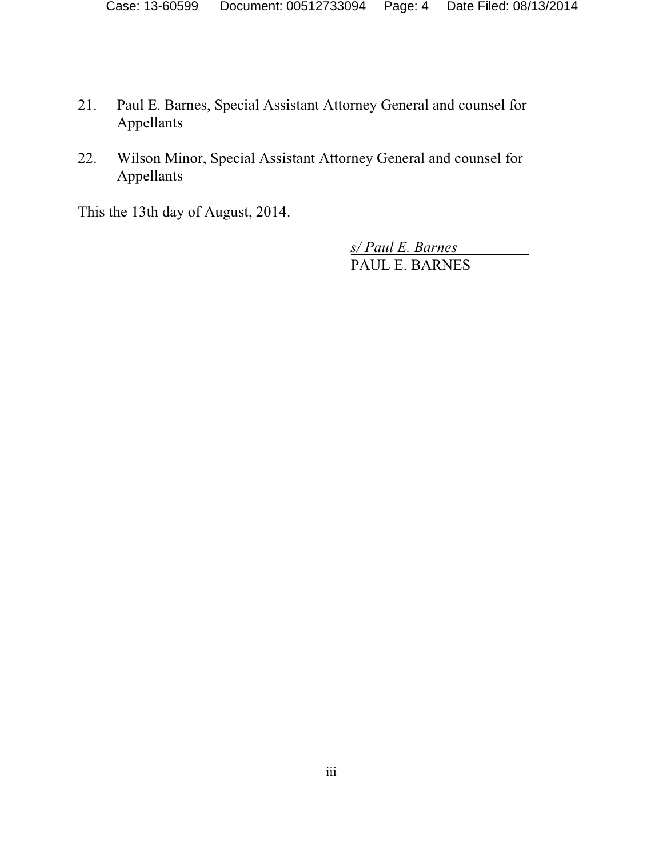- 21. Paul E. Barnes, Special Assistant Attorney General and counsel for Appellants
- 22. Wilson Minor, Special Assistant Attorney General and counsel for Appellants

This the 13th day of August, 2014.

*s/ Paul E. Barnes*  PAUL E. BARNES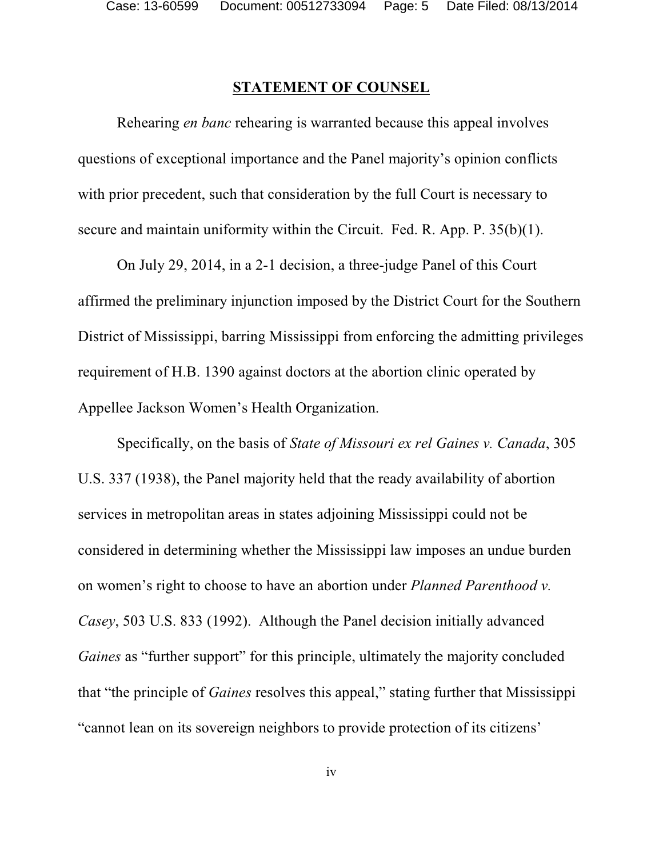### **STATEMENT OF COUNSEL**

Rehearing *en banc* rehearing is warranted because this appeal involves questions of exceptional importance and the Panel majority's opinion conflicts with prior precedent, such that consideration by the full Court is necessary to secure and maintain uniformity within the Circuit. Fed. R. App. P. 35(b)(1).

On July 29, 2014, in a 2-1 decision, a three-judge Panel of this Court affirmed the preliminary injunction imposed by the District Court for the Southern District of Mississippi, barring Mississippi from enforcing the admitting privileges requirement of H.B. 1390 against doctors at the abortion clinic operated by Appellee Jackson Women's Health Organization.

Specifically, on the basis of *State of Missouri ex rel Gaines v. Canada*, 305 U.S. 337 (1938), the Panel majority held that the ready availability of abortion services in metropolitan areas in states adjoining Mississippi could not be considered in determining whether the Mississippi law imposes an undue burden on women's right to choose to have an abortion under *Planned Parenthood v. Casey*, 503 U.S. 833 (1992). Although the Panel decision initially advanced *Gaines* as "further support" for this principle, ultimately the majority concluded that "the principle of *Gaines* resolves this appeal," stating further that Mississippi "cannot lean on its sovereign neighbors to provide protection of its citizens'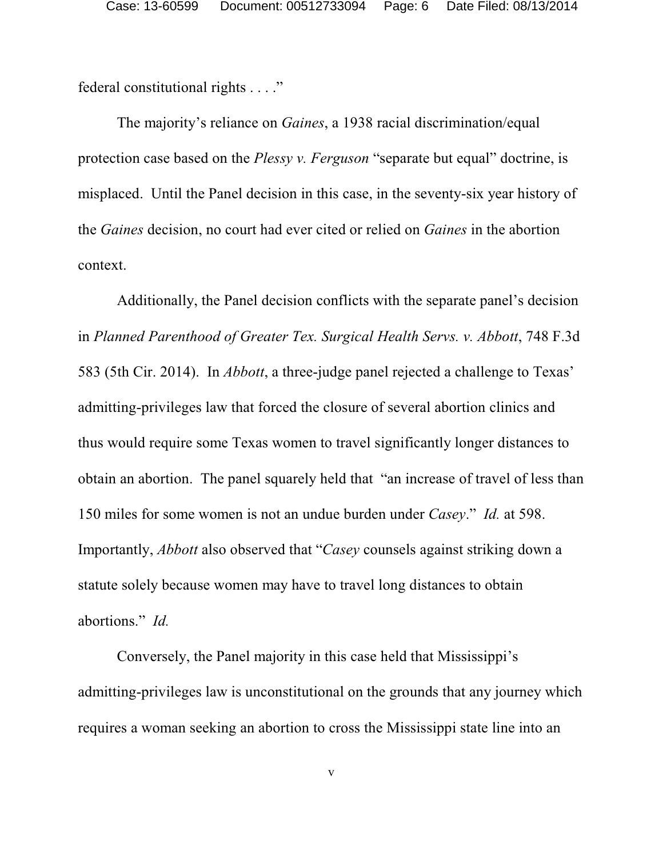federal constitutional rights . . . ."

The majority's reliance on *Gaines*, a 1938 racial discrimination/equal protection case based on the *Plessy v. Ferguson* "separate but equal" doctrine, is misplaced. Until the Panel decision in this case, in the seventy-six year history of the *Gaines* decision, no court had ever cited or relied on *Gaines* in the abortion context.

Additionally, the Panel decision conflicts with the separate panel's decision in *Planned Parenthood of Greater Tex. Surgical Health Servs. v. Abbott*, 748 F.3d 583 (5th Cir. 2014). In *Abbott*, a three-judge panel rejected a challenge to Texas' admitting-privileges law that forced the closure of several abortion clinics and thus would require some Texas women to travel significantly longer distances to obtain an abortion. The panel squarely held that "an increase of travel of less than 150 miles for some women is not an undue burden under *Casey*." *Id.* at 598. Importantly, *Abbott* also observed that "*Casey* counsels against striking down a statute solely because women may have to travel long distances to obtain abortions." *Id.*

Conversely, the Panel majority in this case held that Mississippi's admitting-privileges law is unconstitutional on the grounds that any journey which requires a woman seeking an abortion to cross the Mississippi state line into an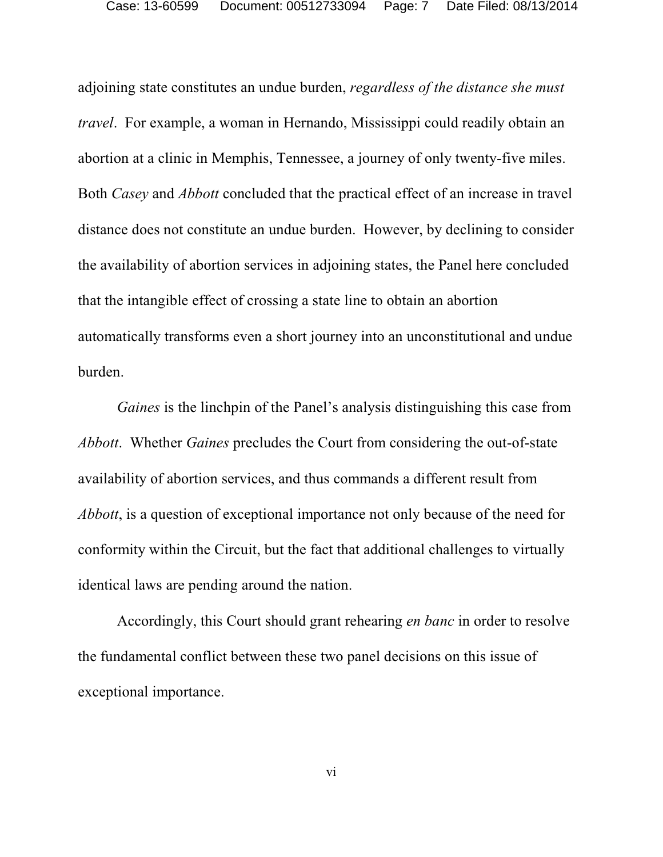adjoining state constitutes an undue burden, *regardless of the distance she must travel*. For example, a woman in Hernando, Mississippi could readily obtain an abortion at a clinic in Memphis, Tennessee, a journey of only twenty-five miles. Both *Casey* and *Abbott* concluded that the practical effect of an increase in travel distance does not constitute an undue burden. However, by declining to consider the availability of abortion services in adjoining states, the Panel here concluded that the intangible effect of crossing a state line to obtain an abortion automatically transforms even a short journey into an unconstitutional and undue burden.

*Gaines* is the linchpin of the Panel's analysis distinguishing this case from *Abbott*. Whether *Gaines* precludes the Court from considering the out-of-state availability of abortion services, and thus commands a different result from *Abbott*, is a question of exceptional importance not only because of the need for conformity within the Circuit, but the fact that additional challenges to virtually identical laws are pending around the nation.

Accordingly, this Court should grant rehearing *en banc* in order to resolve the fundamental conflict between these two panel decisions on this issue of exceptional importance.

vi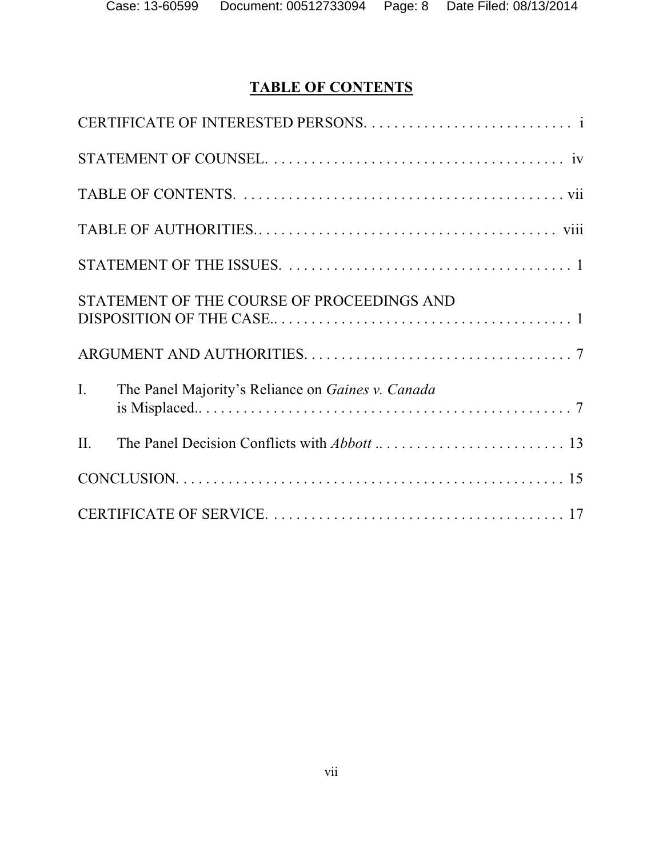# **TABLE OF CONTENTS**

|     | STATEMENT OF THE COURSE OF PROCEEDINGS AND        |
|-----|---------------------------------------------------|
|     |                                                   |
| I.  | The Panel Majority's Reliance on Gaines v. Canada |
| II. |                                                   |
|     |                                                   |
|     |                                                   |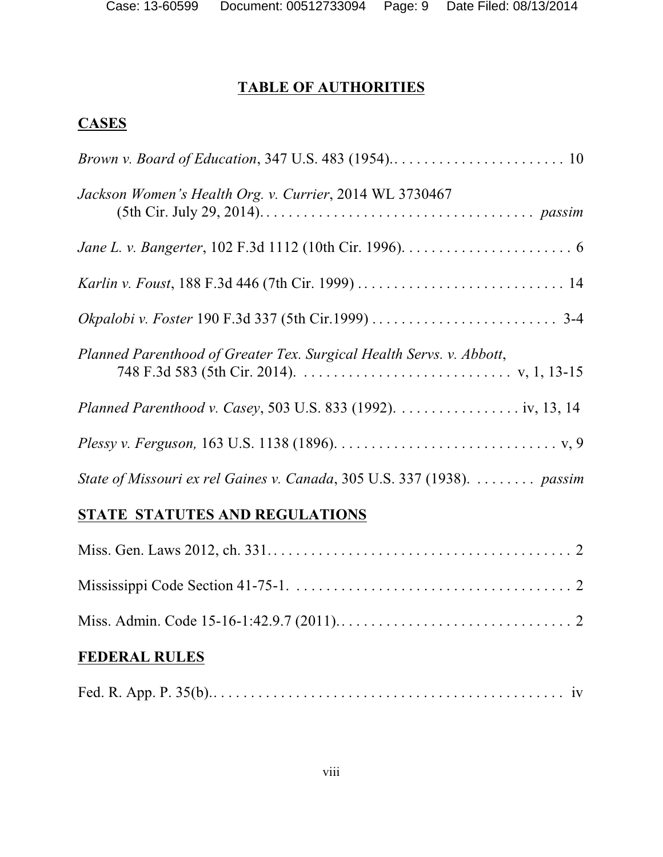# **TABLE OF AUTHORITIES**

## **CASES**

| Jackson Women's Health Org. v. Currier, 2014 WL 3730467                 |
|-------------------------------------------------------------------------|
|                                                                         |
|                                                                         |
|                                                                         |
| Planned Parenthood of Greater Tex. Surgical Health Servs. v. Abbott,    |
| Planned Parenthood v. Casey, 503 U.S. 833 (1992). iv, 13, 14            |
|                                                                         |
| State of Missouri ex rel Gaines v. Canada, 305 U.S. 337 (1938).  passim |
| STATE STATUTES AND REGULATIONS                                          |

# **FEDERAL RULES**

|--|--|--|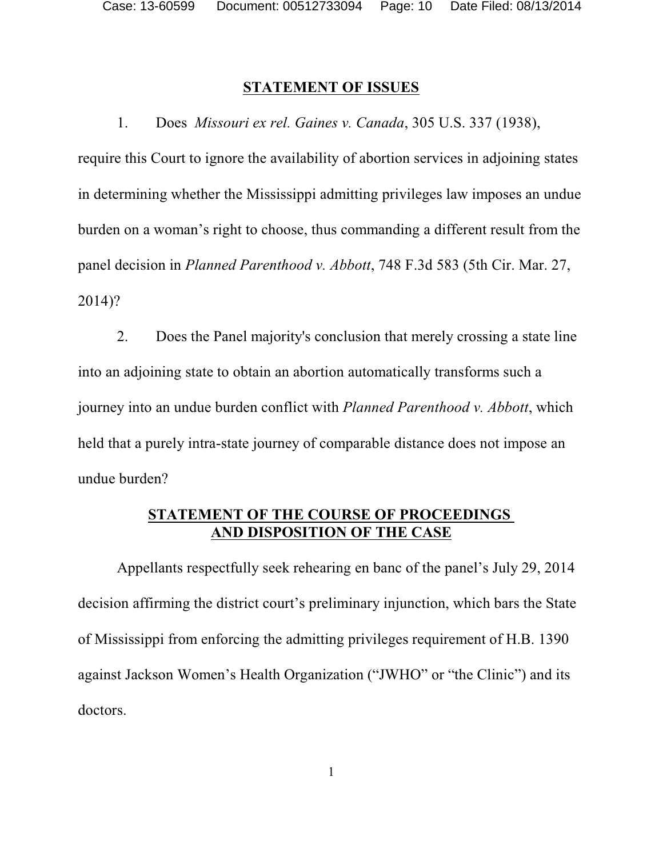#### **STATEMENT OF ISSUES**

1. Does *Missouri ex rel. Gaines v. Canada*, 305 U.S. 337 (1938),

require this Court to ignore the availability of abortion services in adjoining states in determining whether the Mississippi admitting privileges law imposes an undue burden on a woman's right to choose, thus commanding a different result from the panel decision in *Planned Parenthood v. Abbott*, 748 F.3d 583 (5th Cir. Mar. 27, 2014)?

2. Does the Panel majority's conclusion that merely crossing a state line into an adjoining state to obtain an abortion automatically transforms such a journey into an undue burden conflict with *Planned Parenthood v. Abbott*, which held that a purely intra-state journey of comparable distance does not impose an undue burden?

### **STATEMENT OF THE COURSE OF PROCEEDINGS AND DISPOSITION OF THE CASE**

Appellants respectfully seek rehearing en banc of the panel's July 29, 2014 decision affirming the district court's preliminary injunction, which bars the State of Mississippi from enforcing the admitting privileges requirement of H.B. 1390 against Jackson Women's Health Organization ("JWHO" or "the Clinic") and its doctors.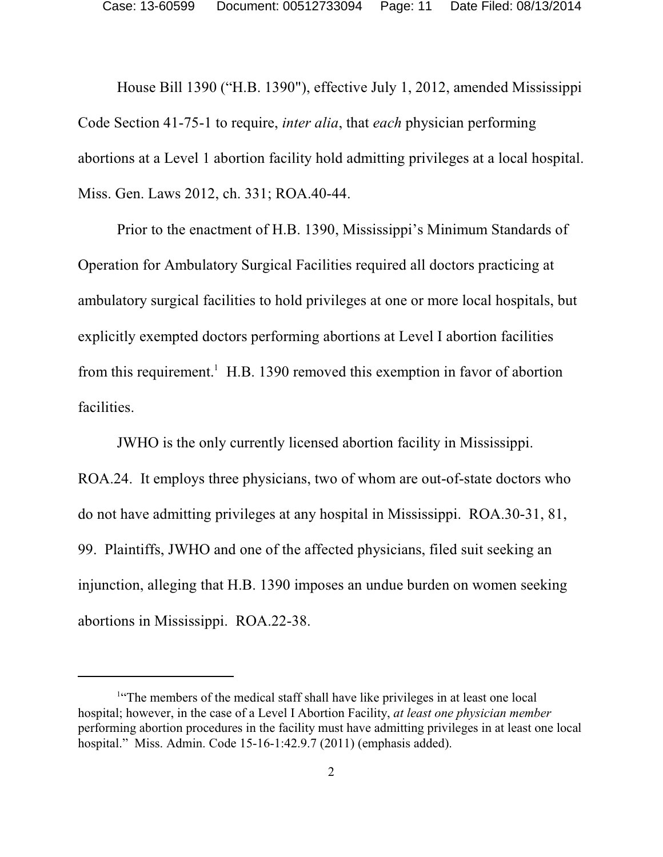House Bill 1390 ("H.B. 1390"), effective July 1, 2012, amended Mississippi Code Section 41-75-1 to require, *inter alia*, that *each* physician performing abortions at a Level 1 abortion facility hold admitting privileges at a local hospital. Miss. Gen. Laws 2012, ch. 331; ROA.40-44.

Prior to the enactment of H.B. 1390, Mississippi's Minimum Standards of Operation for Ambulatory Surgical Facilities required all doctors practicing at ambulatory surgical facilities to hold privileges at one or more local hospitals, but explicitly exempted doctors performing abortions at Level I abortion facilities from this requirement.<sup>1</sup> H.B. 1390 removed this exemption in favor of abortion facilities.

JWHO is the only currently licensed abortion facility in Mississippi. ROA.24. It employs three physicians, two of whom are out-of-state doctors who do not have admitting privileges at any hospital in Mississippi. ROA.30-31, 81, 99. Plaintiffs, JWHO and one of the affected physicians, filed suit seeking an injunction, alleging that H.B. 1390 imposes an undue burden on women seeking abortions in Mississippi. ROA.22-38.

<sup>&</sup>lt;sup>1"</sup>The members of the medical staff shall have like privileges in at least one local hospital; however, in the case of a Level I Abortion Facility, *at least one physician member* performing abortion procedures in the facility must have admitting privileges in at least one local hospital." Miss. Admin. Code 15-16-1:42.9.7 (2011) (emphasis added).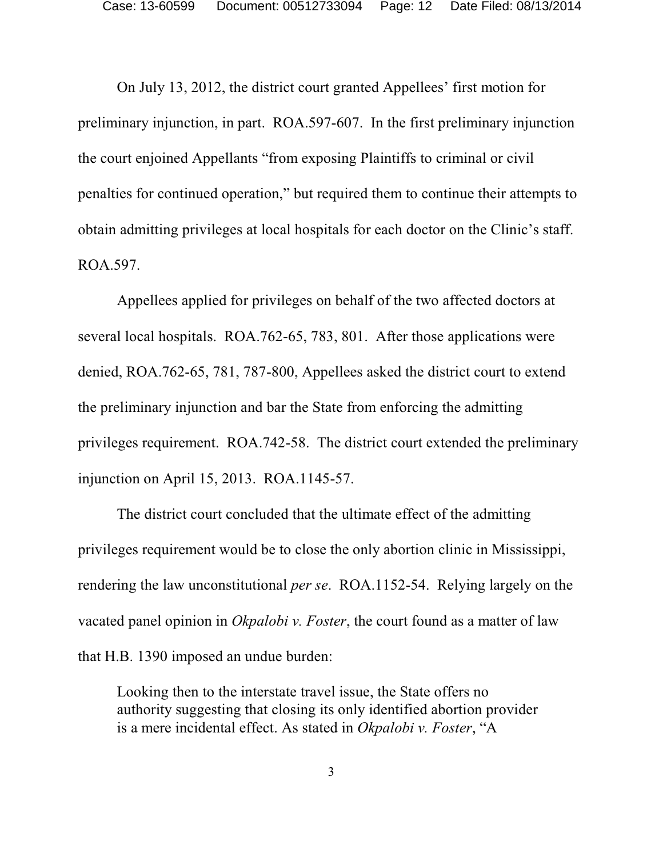On July 13, 2012, the district court granted Appellees' first motion for preliminary injunction, in part. ROA.597-607. In the first preliminary injunction the court enjoined Appellants "from exposing Plaintiffs to criminal or civil penalties for continued operation," but required them to continue their attempts to obtain admitting privileges at local hospitals for each doctor on the Clinic's staff. ROA.597.

Appellees applied for privileges on behalf of the two affected doctors at several local hospitals. ROA.762-65, 783, 801. After those applications were denied, ROA.762-65, 781, 787-800, Appellees asked the district court to extend the preliminary injunction and bar the State from enforcing the admitting privileges requirement. ROA.742-58. The district court extended the preliminary injunction on April 15, 2013. ROA.1145-57.

The district court concluded that the ultimate effect of the admitting privileges requirement would be to close the only abortion clinic in Mississippi, rendering the law unconstitutional *per se*. ROA.1152-54. Relying largely on the vacated panel opinion in *Okpalobi v. Foster*, the court found as a matter of law that H.B. 1390 imposed an undue burden:

Looking then to the interstate travel issue, the State offers no authority suggesting that closing its only identified abortion provider is a mere incidental effect. As stated in *Okpalobi v. Foster*, "A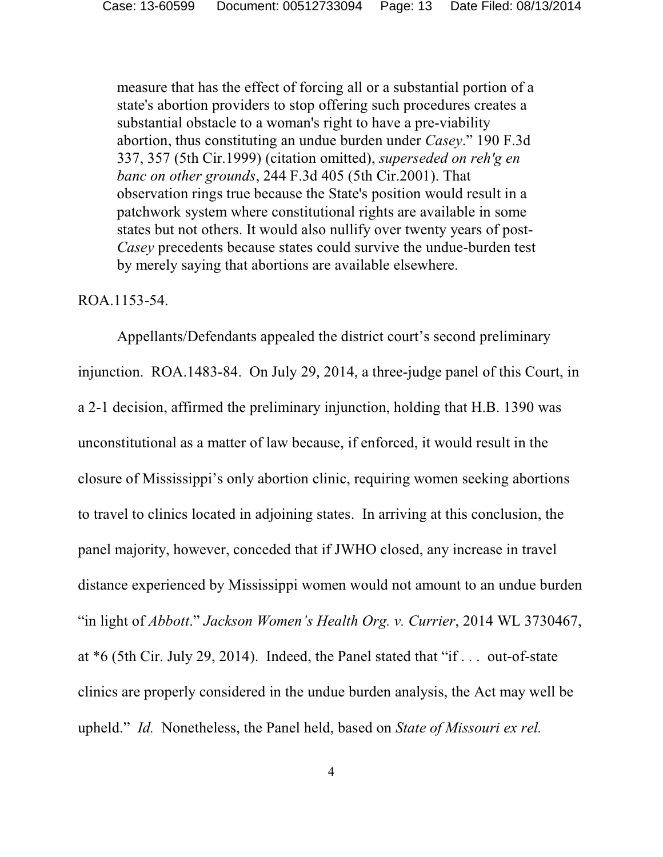measure that has the effect of forcing all or a substantial portion of a state's abortion providers to stop offering such procedures creates a substantial obstacle to a woman's right to have a pre-viability abortion, thus constituting an undue burden under *Casey*." 190 F.3d 337, 357 (5th Cir.1999) (citation omitted), *superseded on reh'g en banc on other grounds*, 244 F.3d 405 (5th Cir.2001). That observation rings true because the State's position would result in a patchwork system where constitutional rights are available in some states but not others. It would also nullify over twenty years of post-*Casey* precedents because states could survive the undue-burden test by merely saying that abortions are available elsewhere.

### ROA.1153-54.

Appellants/Defendants appealed the district court's second preliminary injunction. ROA.1483-84. On July 29, 2014, a three-judge panel of this Court, in a 2-1 decision, affirmed the preliminary injunction, holding that H.B. 1390 was unconstitutional as a matter of law because, if enforced, it would result in the closure of Mississippi's only abortion clinic, requiring women seeking abortions to travel to clinics located in adjoining states. In arriving at this conclusion, the panel majority, however, conceded that if JWHO closed, any increase in travel distance experienced by Mississippi women would not amount to an undue burden "in light of *Abbott*." *Jackson Women's Health Org. v. Currier*, 2014 WL 3730467, at \*6 (5th Cir. July 29, 2014). Indeed, the Panel stated that "if . . . out-of-state clinics are properly considered in the undue burden analysis, the Act may well be upheld." *Id.* Nonetheless, the Panel held, based on *State of Missouri ex rel.*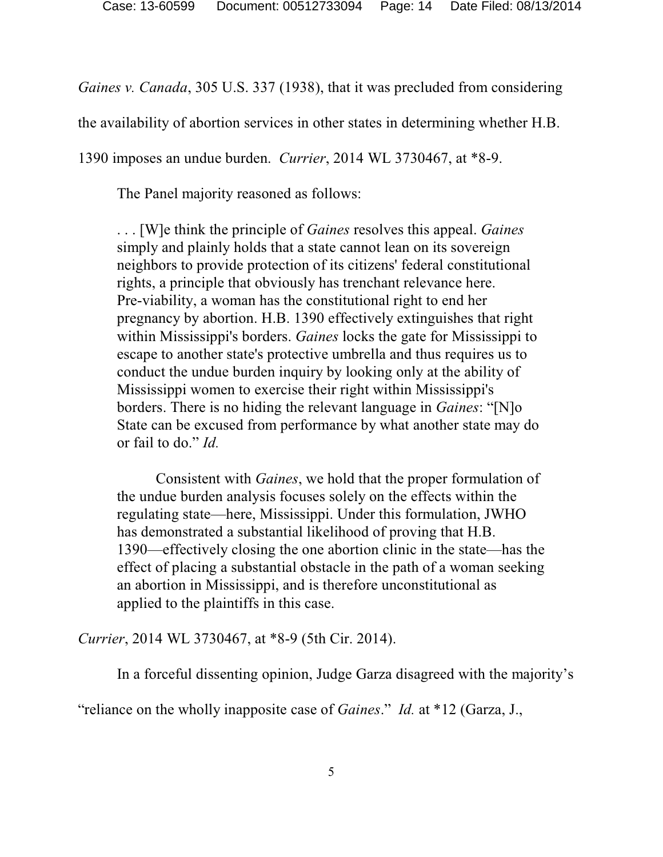*Gaines v. Canada*, 305 U.S. 337 (1938), that it was precluded from considering

the availability of abortion services in other states in determining whether H.B.

1390 imposes an undue burden. *Currier*, 2014 WL 3730467, at \*8-9.

The Panel majority reasoned as follows:

. . . [W]e think the principle of *Gaines* resolves this appeal. *Gaines* simply and plainly holds that a state cannot lean on its sovereign neighbors to provide protection of its citizens' federal constitutional rights, a principle that obviously has trenchant relevance here. Pre-viability, a woman has the constitutional right to end her pregnancy by abortion. H.B. 1390 effectively extinguishes that right within Mississippi's borders. *Gaines* locks the gate for Mississippi to escape to another state's protective umbrella and thus requires us to conduct the undue burden inquiry by looking only at the ability of Mississippi women to exercise their right within Mississippi's borders. There is no hiding the relevant language in *Gaines*: "[N]o State can be excused from performance by what another state may do or fail to do." *Id.*

Consistent with *Gaines*, we hold that the proper formulation of the undue burden analysis focuses solely on the effects within the regulating state—here, Mississippi. Under this formulation, JWHO has demonstrated a substantial likelihood of proving that H.B. 1390—effectively closing the one abortion clinic in the state—has the effect of placing a substantial obstacle in the path of a woman seeking an abortion in Mississippi, and is therefore unconstitutional as applied to the plaintiffs in this case.

*Currier*, 2014 WL 3730467, at \*8-9 (5th Cir. 2014).

In a forceful dissenting opinion, Judge Garza disagreed with the majority's

"reliance on the wholly inapposite case of *Gaines*." *Id.* at \*12 (Garza, J.,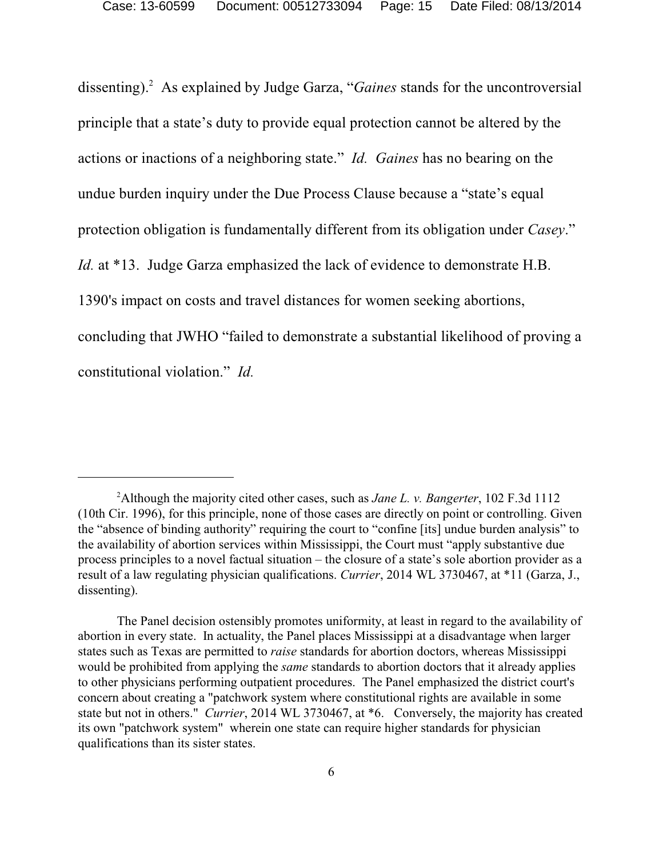dissenting).<sup>2</sup> As explained by Judge Garza, "Gaines stands for the uncontroversial principle that a state's duty to provide equal protection cannot be altered by the actions or inactions of a neighboring state." *Id. Gaines* has no bearing on the undue burden inquiry under the Due Process Clause because a "state's equal protection obligation is fundamentally different from its obligation under *Casey*." *Id.* at \*13. Judge Garza emphasized the lack of evidence to demonstrate H.B. 1390's impact on costs and travel distances for women seeking abortions, concluding that JWHO "failed to demonstrate a substantial likelihood of proving a constitutional violation." *Id.*

Although the majority cited other cases, such as *Jane L. v. Bangerter*, 102 F.3d 1112 <sup>2</sup> (10th Cir. 1996), for this principle, none of those cases are directly on point or controlling. Given the "absence of binding authority" requiring the court to "confine [its] undue burden analysis" to the availability of abortion services within Mississippi, the Court must "apply substantive due process principles to a novel factual situation – the closure of a state's sole abortion provider as a result of a law regulating physician qualifications. *Currier*, 2014 WL 3730467, at \*11 (Garza, J., dissenting).

The Panel decision ostensibly promotes uniformity, at least in regard to the availability of abortion in every state. In actuality, the Panel places Mississippi at a disadvantage when larger states such as Texas are permitted to *raise* standards for abortion doctors, whereas Mississippi would be prohibited from applying the *same* standards to abortion doctors that it already applies to other physicians performing outpatient procedures. The Panel emphasized the district court's concern about creating a "patchwork system where constitutional rights are available in some state but not in others." *Currier*, 2014 WL 3730467, at \*6. Conversely, the majority has created its own "patchwork system" wherein one state can require higher standards for physician qualifications than its sister states.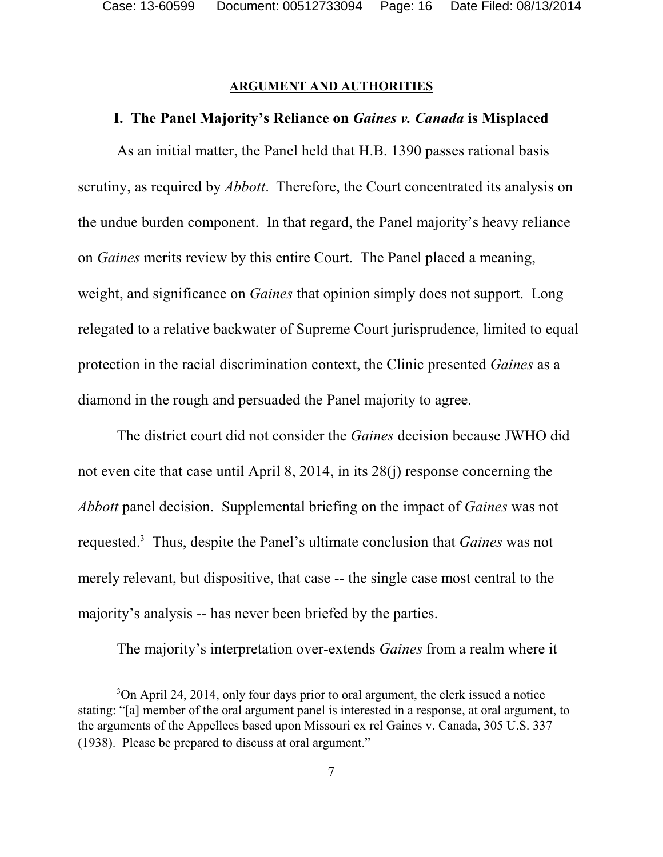#### **ARGUMENT AND AUTHORITIES**

#### **I. The Panel Majority's Reliance on** *Gaines v. Canada* **is Misplaced**

As an initial matter, the Panel held that H.B. 1390 passes rational basis scrutiny, as required by *Abbott*. Therefore, the Court concentrated its analysis on the undue burden component. In that regard, the Panel majority's heavy reliance on *Gaines* merits review by this entire Court. The Panel placed a meaning, weight, and significance on *Gaines* that opinion simply does not support. Long relegated to a relative backwater of Supreme Court jurisprudence, limited to equal protection in the racial discrimination context, the Clinic presented *Gaines* as a diamond in the rough and persuaded the Panel majority to agree.

The district court did not consider the *Gaines* decision because JWHO did not even cite that case until April 8, 2014, in its 28(j) response concerning the *Abbott* panel decision. Supplemental briefing on the impact of *Gaines* was not requested.<sup>3</sup> Thus, despite the Panel's ultimate conclusion that *Gaines* was not merely relevant, but dispositive, that case -- the single case most central to the majority's analysis -- has never been briefed by the parties.

The majority's interpretation over-extends *Gaines* from a realm where it

<sup>&</sup>lt;sup>3</sup>On April 24, 2014, only four days prior to oral argument, the clerk issued a notice stating: "[a] member of the oral argument panel is interested in a response, at oral argument, to the arguments of the Appellees based upon Missouri ex rel Gaines v. Canada, 305 U.S. 337 (1938). Please be prepared to discuss at oral argument."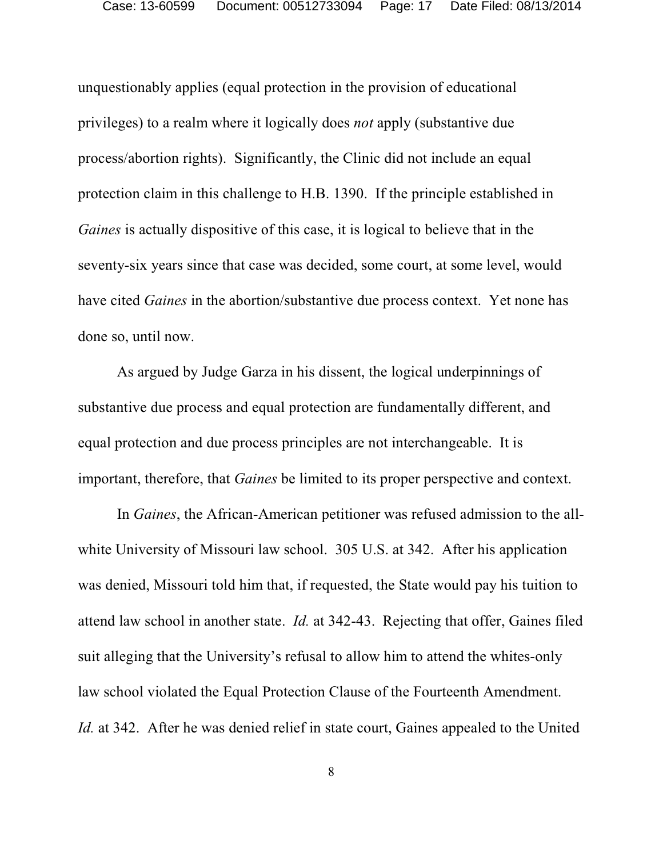unquestionably applies (equal protection in the provision of educational privileges) to a realm where it logically does *not* apply (substantive due process/abortion rights). Significantly, the Clinic did not include an equal protection claim in this challenge to H.B. 1390. If the principle established in *Gaines* is actually dispositive of this case, it is logical to believe that in the seventy-six years since that case was decided, some court, at some level, would have cited *Gaines* in the abortion/substantive due process context. Yet none has done so, until now.

As argued by Judge Garza in his dissent, the logical underpinnings of substantive due process and equal protection are fundamentally different, and equal protection and due process principles are not interchangeable. It is important, therefore, that *Gaines* be limited to its proper perspective and context.

In *Gaines*, the African-American petitioner was refused admission to the allwhite University of Missouri law school. 305 U.S. at 342. After his application was denied, Missouri told him that, if requested, the State would pay his tuition to attend law school in another state. *Id.* at 342-43. Rejecting that offer, Gaines filed suit alleging that the University's refusal to allow him to attend the whites-only law school violated the Equal Protection Clause of the Fourteenth Amendment. *Id.* at 342. After he was denied relief in state court, Gaines appealed to the United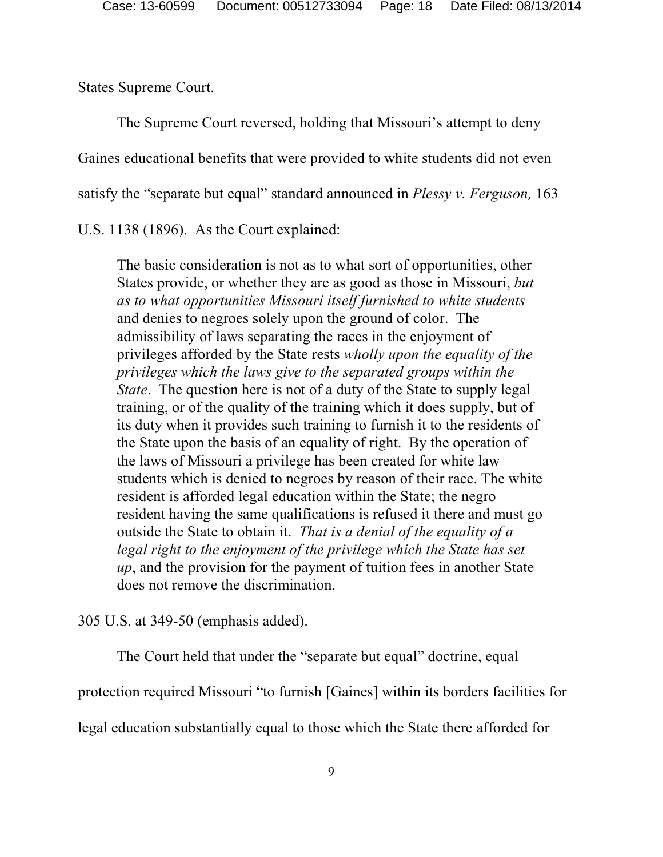States Supreme Court.

The Supreme Court reversed, holding that Missouri's attempt to deny Gaines educational benefits that were provided to white students did not even satisfy the "separate but equal" standard announced in *Plessy v. Ferguson,* 163

U.S. 1138 (1896). As the Court explained:

The basic consideration is not as to what sort of opportunities, other States provide, or whether they are as good as those in Missouri, *but as to what opportunities Missouri itself furnished to white students* and denies to negroes solely upon the ground of color. The admissibility of laws separating the races in the enjoyment of privileges afforded by the State rests *wholly upon the equality of the privileges which the laws give to the separated groups within the State*. The question here is not of a duty of the State to supply legal training, or of the quality of the training which it does supply, but of its duty when it provides such training to furnish it to the residents of the State upon the basis of an equality of right. By the operation of the laws of Missouri a privilege has been created for white law students which is denied to negroes by reason of their race. The white resident is afforded legal education within the State; the negro resident having the same qualifications is refused it there and must go outside the State to obtain it. *That is a denial of the equality of a legal right to the enjoyment of the privilege which the State has set up*, and the provision for the payment of tuition fees in another State does not remove the discrimination.

305 U.S. at 349-50 (emphasis added).

The Court held that under the "separate but equal" doctrine, equal protection required Missouri "to furnish [Gaines] within its borders facilities for legal education substantially equal to those which the State there afforded for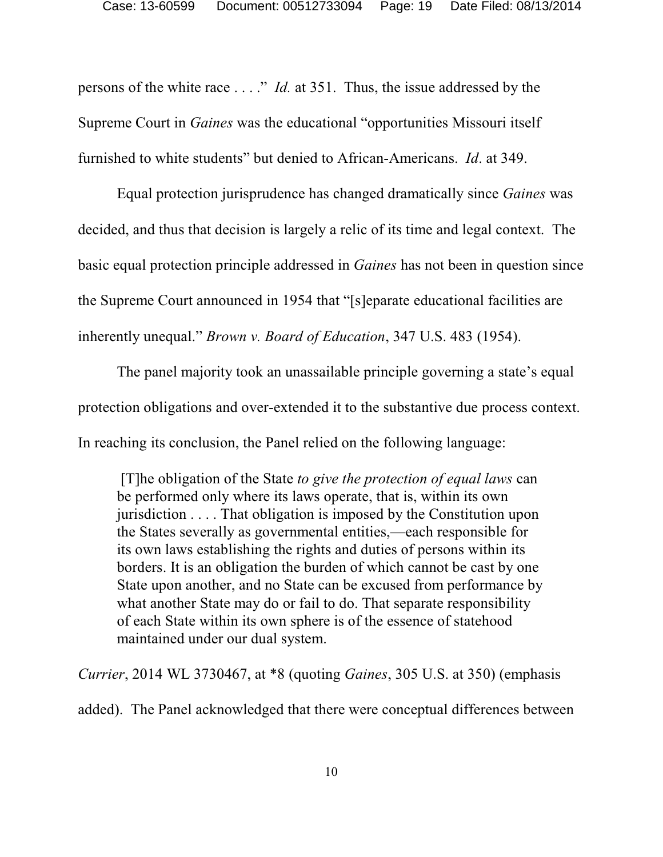persons of the white race . . . ." *Id.* at 351. Thus, the issue addressed by the Supreme Court in *Gaines* was the educational "opportunities Missouri itself furnished to white students" but denied to African-Americans. *Id*. at 349.

Equal protection jurisprudence has changed dramatically since *Gaines* was decided, and thus that decision is largely a relic of its time and legal context. The basic equal protection principle addressed in *Gaines* has not been in question since the Supreme Court announced in 1954 that "[s]eparate educational facilities are inherently unequal." *Brown v. Board of Education*, 347 U.S. 483 (1954).

The panel majority took an unassailable principle governing a state's equal protection obligations and over-extended it to the substantive due process context. In reaching its conclusion, the Panel relied on the following language:

 [T]he obligation of the State *to give the protection of equal laws* can be performed only where its laws operate, that is, within its own jurisdiction . . . . That obligation is imposed by the Constitution upon the States severally as governmental entities,—each responsible for its own laws establishing the rights and duties of persons within its borders. It is an obligation the burden of which cannot be cast by one State upon another, and no State can be excused from performance by what another State may do or fail to do. That separate responsibility of each State within its own sphere is of the essence of statehood maintained under our dual system.

*Currier*, 2014 WL 3730467, at \*8 (quoting *Gaines*, 305 U.S. at 350) (emphasis added). The Panel acknowledged that there were conceptual differences between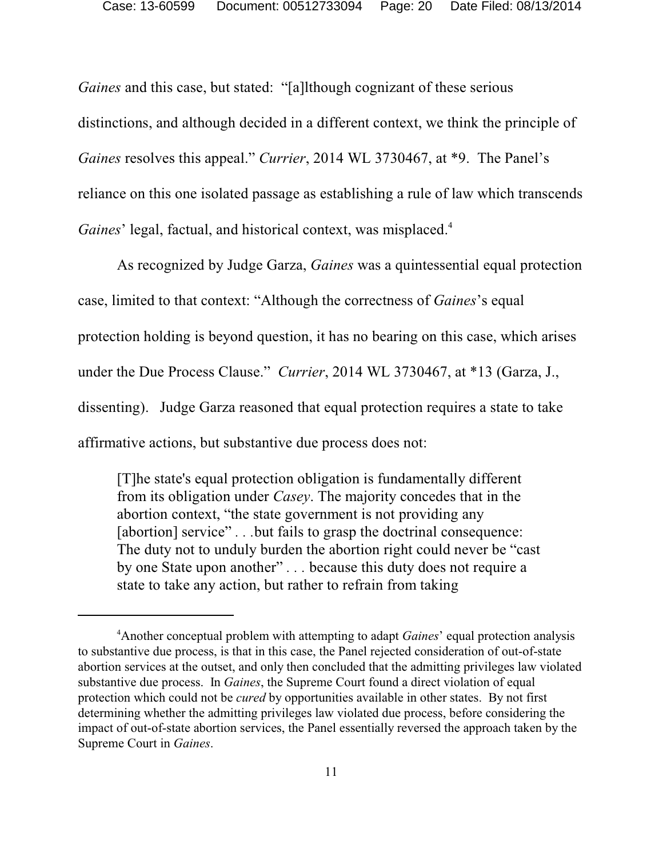*Gaines* and this case, but stated: "[a]lthough cognizant of these serious distinctions, and although decided in a different context, we think the principle of *Gaines* resolves this appeal." *Currier*, 2014 WL 3730467, at \*9. The Panel's reliance on this one isolated passage as establishing a rule of law which transcends Gaines' legal, factual, and historical context, was misplaced.<sup>4</sup>

As recognized by Judge Garza, *Gaines* was a quintessential equal protection case, limited to that context: "Although the correctness of *Gaines*'s equal protection holding is beyond question, it has no bearing on this case, which arises under the Due Process Clause." *Currier*, 2014 WL 3730467, at \*13 (Garza, J., dissenting). Judge Garza reasoned that equal protection requires a state to take affirmative actions, but substantive due process does not:

[T]he state's equal protection obligation is fundamentally different from its obligation under *Casey*. The majority concedes that in the abortion context, "the state government is not providing any [abortion] service" . . .but fails to grasp the doctrinal consequence: The duty not to unduly burden the abortion right could never be "cast by one State upon another" *. . .* because this duty does not require a state to take any action, but rather to refrain from taking

<sup>&</sup>lt;sup>4</sup> Another conceptual problem with attempting to adapt *Gaines*' equal protection analysis to substantive due process, is that in this case, the Panel rejected consideration of out-of-state abortion services at the outset, and only then concluded that the admitting privileges law violated substantive due process. In *Gaines*, the Supreme Court found a direct violation of equal protection which could not be *cured* by opportunities available in other states. By not first determining whether the admitting privileges law violated due process, before considering the impact of out-of-state abortion services, the Panel essentially reversed the approach taken by the Supreme Court in *Gaines*.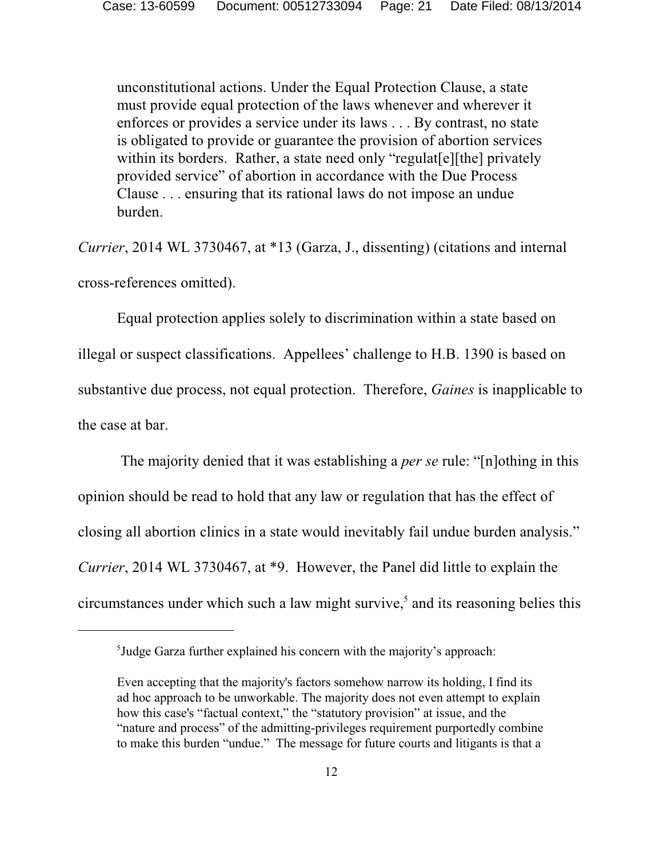unconstitutional actions. Under the Equal Protection Clause, a state must provide equal protection of the laws whenever and wherever it enforces or provides a service under its laws . . . By contrast, no state is obligated to provide or guarantee the provision of abortion services within its borders. Rather, a state need only "regulat<sup>[e][the]</sup> privately provided service" of abortion in accordance with the Due Process Clause . . . ensuring that its rational laws do not impose an undue burden.

*Currier*, 2014 WL 3730467, at \*13 (Garza, J., dissenting) (citations and internal cross-references omitted).

Equal protection applies solely to discrimination within a state based on illegal or suspect classifications. Appellees' challenge to H.B. 1390 is based on substantive due process, not equal protection. Therefore, *Gaines* is inapplicable to the case at bar.

 The majority denied that it was establishing a *per se* rule: "[n]othing in this opinion should be read to hold that any law or regulation that has the effect of closing all abortion clinics in a state would inevitably fail undue burden analysis." *Currier*, 2014 WL 3730467, at \*9. However, the Panel did little to explain the circumstances under which such a law might survive, $<sup>5</sup>$  and its reasoning belies this</sup>

 $<sup>5</sup>$  Judge Garza further explained his concern with the majority's approach:</sup>

Even accepting that the majority's factors somehow narrow its holding, I find its ad hoc approach to be unworkable. The majority does not even attempt to explain how this case's "factual context," the "statutory provision" at issue, and the "nature and process" of the admitting-privileges requirement purportedly combine to make this burden "undue." The message for future courts and litigants is that a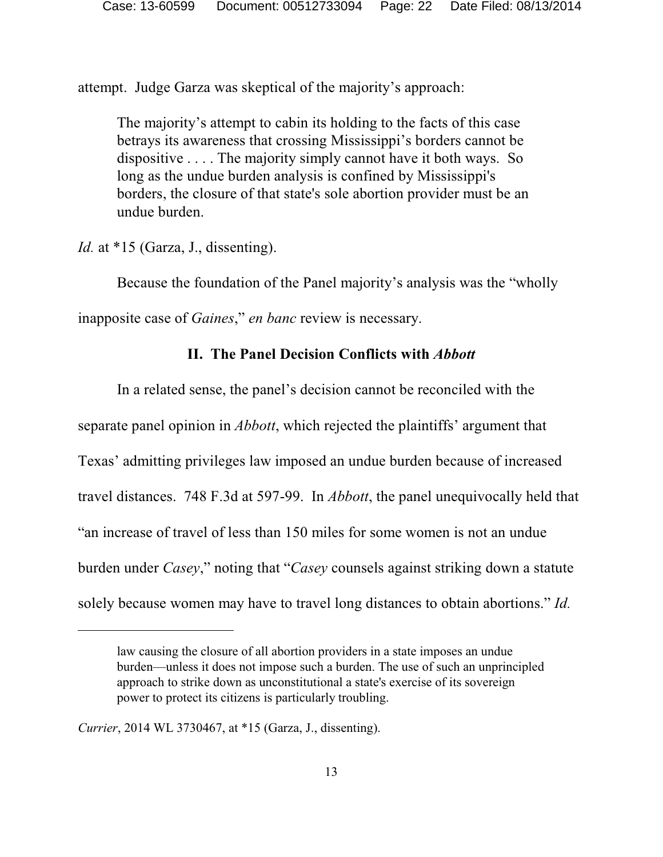attempt. Judge Garza was skeptical of the majority's approach:

The majority's attempt to cabin its holding to the facts of this case betrays its awareness that crossing Mississippi's borders cannot be dispositive . . . . The majority simply cannot have it both ways. So long as the undue burden analysis is confined by Mississippi's borders, the closure of that state's sole abortion provider must be an undue burden.

*Id.* at \*15 (Garza, J., dissenting).

Because the foundation of the Panel majority's analysis was the "wholly

inapposite case of *Gaines*," *en banc* review is necessary.

### **II. The Panel Decision Conflicts with** *Abbott*

In a related sense, the panel's decision cannot be reconciled with the separate panel opinion in *Abbott*, which rejected the plaintiffs' argument that Texas' admitting privileges law imposed an undue burden because of increased travel distances. 748 F.3d at 597-99. In *Abbott*, the panel unequivocally held that "an increase of travel of less than 150 miles for some women is not an undue burden under *Casey*," noting that "*Casey* counsels against striking down a statute solely because women may have to travel long distances to obtain abortions." *Id.*

law causing the closure of all abortion providers in a state imposes an undue burden—unless it does not impose such a burden. The use of such an unprincipled approach to strike down as unconstitutional a state's exercise of its sovereign power to protect its citizens is particularly troubling.

*Currier*, 2014 WL 3730467, at \*15 (Garza, J., dissenting).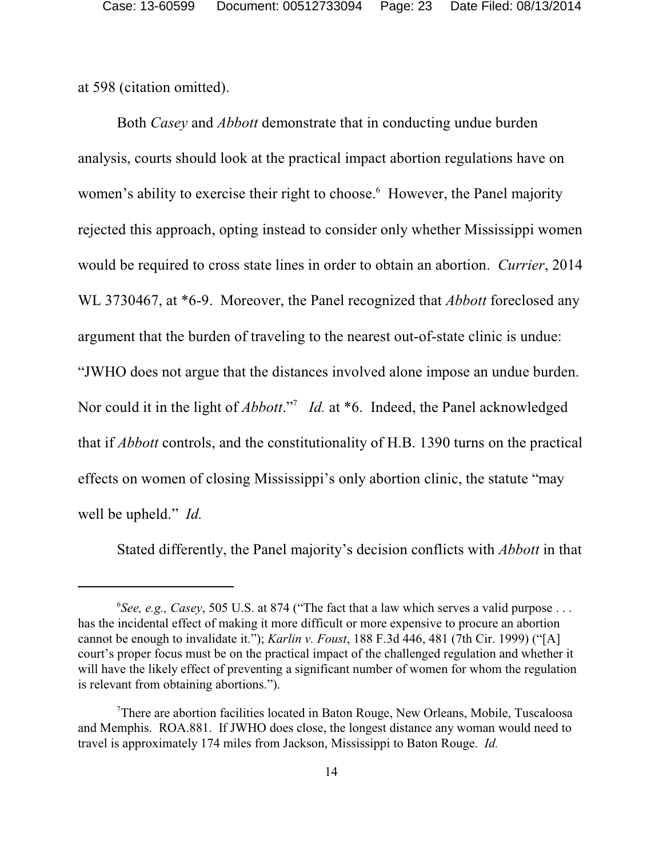at 598 (citation omitted).

Both *Casey* and *Abbott* demonstrate that in conducting undue burden analysis, courts should look at the practical impact abortion regulations have on women's ability to exercise their right to choose.<sup>6</sup> However, the Panel majority rejected this approach, opting instead to consider only whether Mississippi women would be required to cross state lines in order to obtain an abortion. *Currier*, 2014 WL 3730467, at \*6-9. Moreover, the Panel recognized that *Abbott* foreclosed any argument that the burden of traveling to the nearest out-of-state clinic is undue: "JWHO does not argue that the distances involved alone impose an undue burden. Nor could it in the light of *Abbott*."<sup>7</sup> *Id.* at \*6. Indeed, the Panel acknowledged that if *Abbott* controls, and the constitutionality of H.B. 1390 turns on the practical effects on women of closing Mississippi's only abortion clinic, the statute "may well be upheld." *Id.*

Stated differently, the Panel majority's decision conflicts with *Abbott* in that

<sup>&</sup>lt;sup>6</sup>See, e.g., Casey, 505 U.S. at 874 ("The fact that a law which serves a valid purpose . . . has the incidental effect of making it more difficult or more expensive to procure an abortion cannot be enough to invalidate it."); *Karlin v. Foust*, 188 F.3d 446, 481 (7th Cir. 1999) ("[A] court's proper focus must be on the practical impact of the challenged regulation and whether it will have the likely effect of preventing a significant number of women for whom the regulation is relevant from obtaining abortions.").

 $T$ There are abortion facilities located in Baton Rouge, New Orleans, Mobile, Tuscaloosa and Memphis. ROA.881. If JWHO does close, the longest distance any woman would need to travel is approximately 174 miles from Jackson, Mississippi to Baton Rouge. *Id.*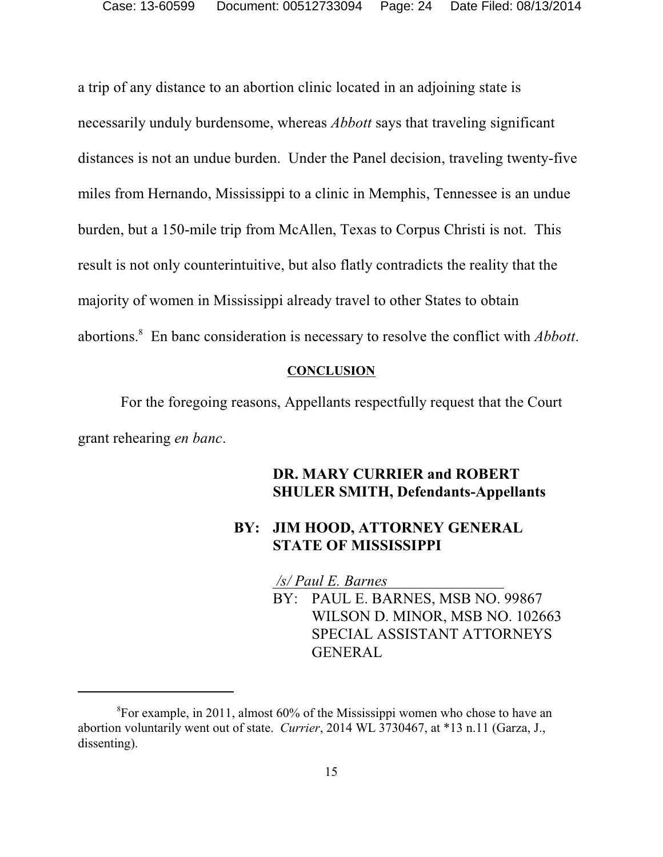a trip of any distance to an abortion clinic located in an adjoining state is necessarily unduly burdensome, whereas *Abbott* says that traveling significant distances is not an undue burden. Under the Panel decision, traveling twenty-five miles from Hernando, Mississippi to a clinic in Memphis, Tennessee is an undue burden, but a 150-mile trip from McAllen, Texas to Corpus Christi is not. This result is not only counterintuitive, but also flatly contradicts the reality that the majority of women in Mississippi already travel to other States to obtain abortions.<sup>8</sup> En banc consideration is necessary to resolve the conflict with *Abbott*.

#### **CONCLUSION**

 For the foregoing reasons, Appellants respectfully request that the Court grant rehearing *en banc*.

### **DR. MARY CURRIER and ROBERT SHULER SMITH, Defendants-Appellants**

### **BY: JIM HOOD, ATTORNEY GENERAL STATE OF MISSISSIPPI**

*/s/ Paul E. Barnes* 

BY: PAUL E. BARNES, MSB NO. 99867 WILSON D. MINOR, MSB NO. 102663 SPECIAL ASSISTANT ATTORNEYS GENERAL

 ${}^{8}$ For example, in 2011, almost 60% of the Mississippi women who chose to have an abortion voluntarily went out of state. *Currier*, 2014 WL 3730467, at \*13 n.11 (Garza, J., dissenting).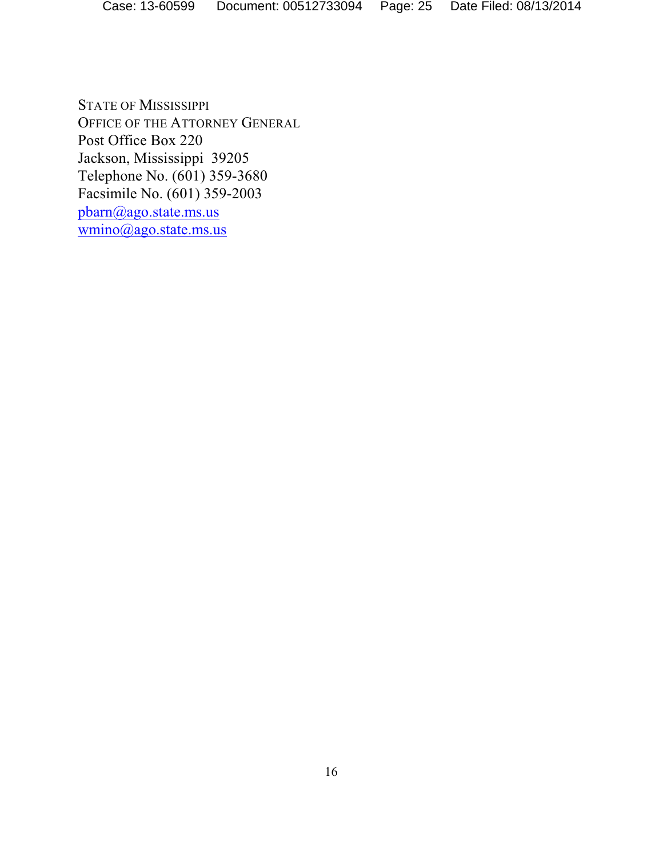STATE OF MISSISSIPPI OFFICE OF THE ATTORNEY GENERAL Post Office Box 220 Jackson, Mississippi 39205 Telephone No. (601) 359-3680 Facsimile No. (601) 359-2003 [pbarn@ago.state.ms.us](mailto:bbrya@ago.state.ms.us) [wmino@ago.state.ms.us](mailto:bbrya@ago.state.ms.us)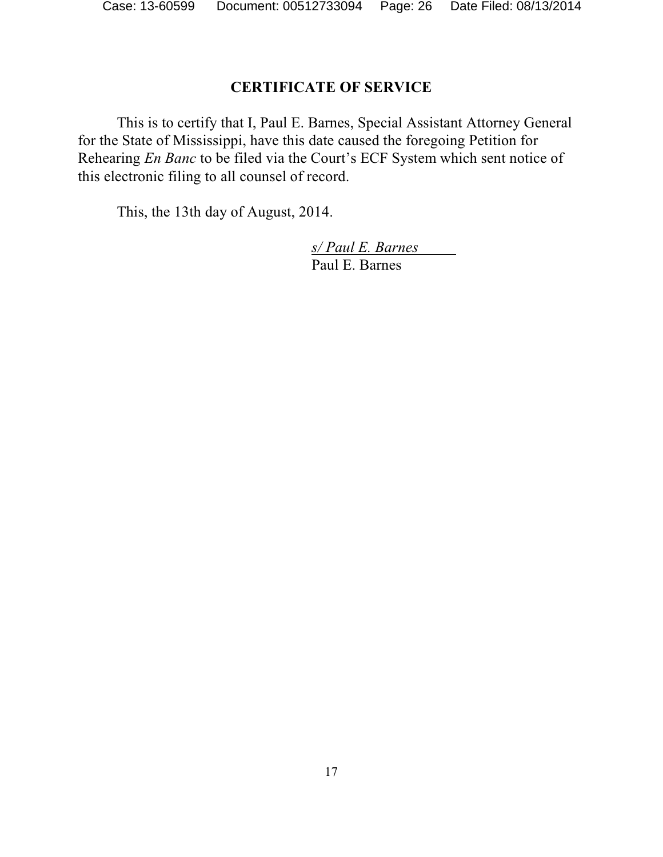### **CERTIFICATE OF SERVICE**

This is to certify that I, Paul E. Barnes, Special Assistant Attorney General for the State of Mississippi, have this date caused the foregoing Petition for Rehearing *En Banc* to be filed via the Court's ECF System which sent notice of this electronic filing to all counsel of record.

This, the 13th day of August, 2014.

*s/ Paul E. Barnes*  Paul E. Barnes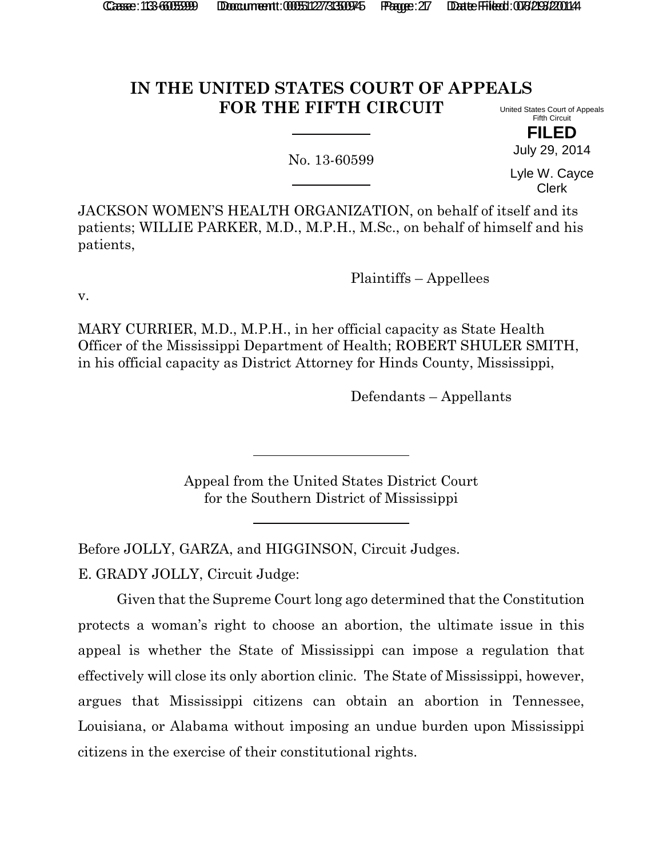# **IN THE UNITED STATES COURT OF APPEALS FOR THE FIFTH CIRCUIT**

No. 13-60599

United States Court of Appeals Fifth Circuit

> **FILED** July 29, 2014

Lyle W. Cayce Clerk

JACKSON WOMEN'S HEALTH ORGANIZATION, on behalf of itself and its patients; WILLIE PARKER, M.D., M.P.H., M.Sc., on behalf of himself and his patients,

Plaintiffs – Appellees

v.

MARY CURRIER, M.D., M.P.H., in her official capacity as State Health Officer of the Mississippi Department of Health; ROBERT SHULER SMITH, in his official capacity as District Attorney for Hinds County, Mississippi,

Defendants – Appellants

Appeal from the United States District Court for the Southern District of Mississippi

Before JOLLY, GARZA, and HIGGINSON, Circuit Judges.

E. GRADY JOLLY, Circuit Judge:

Given that the Supreme Court long ago determined that the Constitution protects a woman's right to choose an abortion, the ultimate issue in this appeal is whether the State of Mississippi can impose a regulation that effectively will close its only abortion clinic. The State of Mississippi, however, argues that Mississippi citizens can obtain an abortion in Tennessee, Louisiana, or Alabama without imposing an undue burden upon Mississippi citizens in the exercise of their constitutional rights.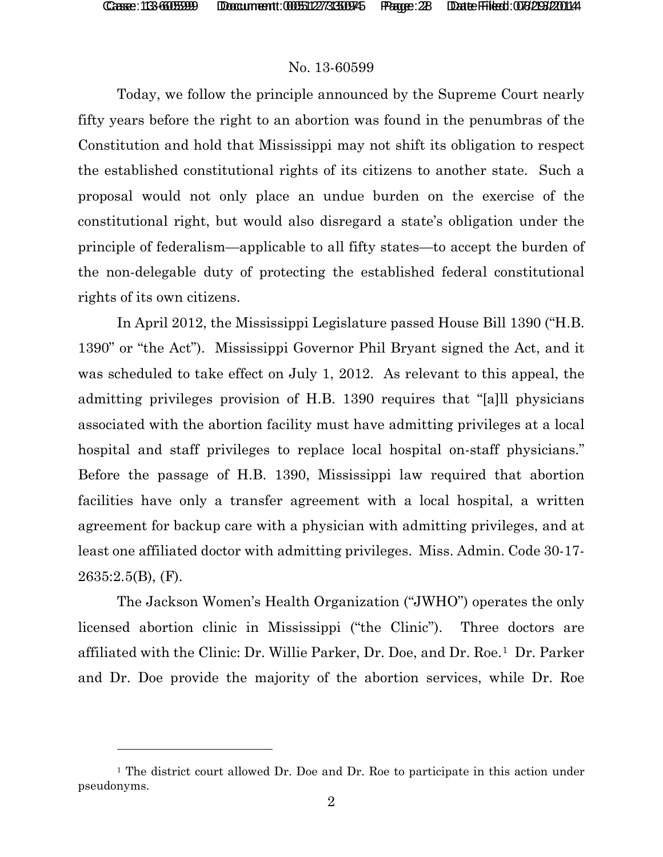l

#### No. 13-60599

Today, we follow the principle announced by the Supreme Court nearly fifty years before the right to an abortion was found in the penumbras of the Constitution and hold that Mississippi may not shift its obligation to respect the established constitutional rights of its citizens to another state. Such a proposal would not only place an undue burden on the exercise of the constitutional right, but would also disregard a state's obligation under the principle of federalism—applicable to all fifty states—to accept the burden of the non-delegable duty of protecting the established federal constitutional rights of its own citizens.

In April 2012, the Mississippi Legislature passed House Bill 1390 ("H.B. 1390" or "the Act"). Mississippi Governor Phil Bryant signed the Act, and it was scheduled to take effect on July 1, 2012. As relevant to this appeal, the admitting privileges provision of H.B. 1390 requires that "[a]ll physicians associated with the abortion facility must have admitting privileges at a local hospital and staff privileges to replace local hospital on-staff physicians." Before the passage of H.B. 1390, Mississippi law required that abortion facilities have only a transfer agreement with a local hospital, a written agreement for backup care with a physician with admitting privileges, and at least one affiliated doctor with admitting privileges. Miss. Admin. Code 30-17- 2635:2.5(B), (F).

The Jackson Women's Health Organization ("JWHO") operates the only licensed abortion clinic in Mississippi ("the Clinic"). Three doctors are affiliated with the Clinic: Dr. Willie Parker, Dr. Doe, and Dr. Roe.[1](#page-27-0) Dr. Parker and Dr. Doe provide the majority of the abortion services, while Dr. Roe

<span id="page-27-0"></span><sup>1</sup> The district court allowed Dr. Doe and Dr. Roe to participate in this action under pseudonyms.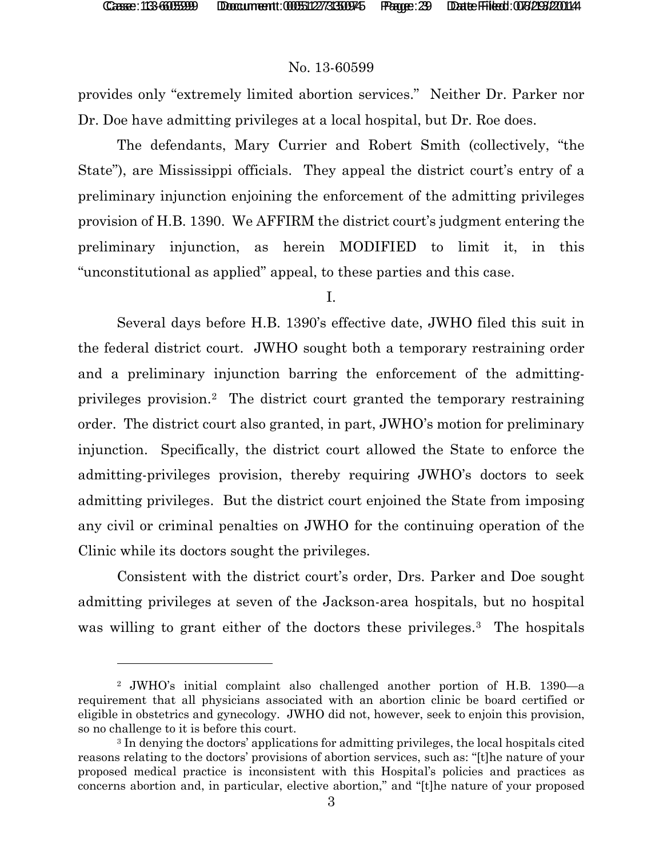#### No. 13-60599

provides only "extremely limited abortion services." Neither Dr. Parker nor Dr. Doe have admitting privileges at a local hospital, but Dr. Roe does.

The defendants, Mary Currier and Robert Smith (collectively, "the State"), are Mississippi officials. They appeal the district court's entry of a preliminary injunction enjoining the enforcement of the admitting privileges provision of H.B. 1390. We AFFIRM the district court's judgment entering the preliminary injunction, as herein MODIFIED to limit it, in this "unconstitutional as applied" appeal, to these parties and this case.

I.

Several days before H.B. 1390's effective date, JWHO filed this suit in the federal district court. JWHO sought both a temporary restraining order and a preliminary injunction barring the enforcement of the admittingprivileges provision.[2](#page-28-0) The district court granted the temporary restraining order. The district court also granted, in part, JWHO's motion for preliminary injunction. Specifically, the district court allowed the State to enforce the admitting-privileges provision, thereby requiring JWHO's doctors to seek admitting privileges. But the district court enjoined the State from imposing any civil or criminal penalties on JWHO for the continuing operation of the Clinic while its doctors sought the privileges.

Consistent with the district court's order, Drs. Parker and Doe sought admitting privileges at seven of the Jackson-area hospitals, but no hospital was willing to grant either of the doctors these privileges.<sup>[3](#page-28-1)</sup> The hospitals

<span id="page-28-0"></span><sup>2</sup> JWHO's initial complaint also challenged another portion of H.B. 1390—a requirement that all physicians associated with an abortion clinic be board certified or eligible in obstetrics and gynecology. JWHO did not, however, seek to enjoin this provision, so no challenge to it is before this court.<br><sup>3</sup> In denying the doctors' applications for admitting privileges, the local hospitals cited

<span id="page-28-1"></span>reasons relating to the doctors' provisions of abortion services, such as: "[t]he nature of your proposed medical practice is inconsistent with this Hospital's policies and practices as concerns abortion and, in particular, elective abortion," and "[t]he nature of your proposed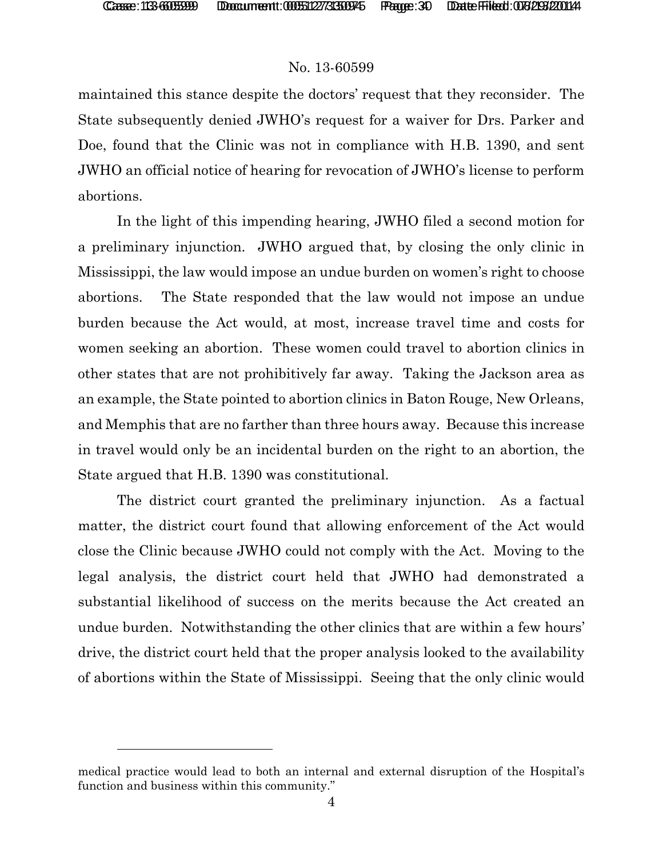l

### No. 13-60599

maintained this stance despite the doctors' request that they reconsider. The State subsequently denied JWHO's request for a waiver for Drs. Parker and Doe, found that the Clinic was not in compliance with H.B. 1390, and sent JWHO an official notice of hearing for revocation of JWHO's license to perform abortions.

In the light of this impending hearing, JWHO filed a second motion for a preliminary injunction. JWHO argued that, by closing the only clinic in Mississippi, the law would impose an undue burden on women's right to choose abortions. The State responded that the law would not impose an undue burden because the Act would, at most, increase travel time and costs for women seeking an abortion. These women could travel to abortion clinics in other states that are not prohibitively far away. Taking the Jackson area as an example, the State pointed to abortion clinics in Baton Rouge, New Orleans, and Memphis that are no farther than three hours away. Because this increase in travel would only be an incidental burden on the right to an abortion, the State argued that H.B. 1390 was constitutional.

The district court granted the preliminary injunction. As a factual matter, the district court found that allowing enforcement of the Act would close the Clinic because JWHO could not comply with the Act. Moving to the legal analysis, the district court held that JWHO had demonstrated a substantial likelihood of success on the merits because the Act created an undue burden. Notwithstanding the other clinics that are within a few hours' drive, the district court held that the proper analysis looked to the availability of abortions within the State of Mississippi. Seeing that the only clinic would

medical practice would lead to both an internal and external disruption of the Hospital's function and business within this community."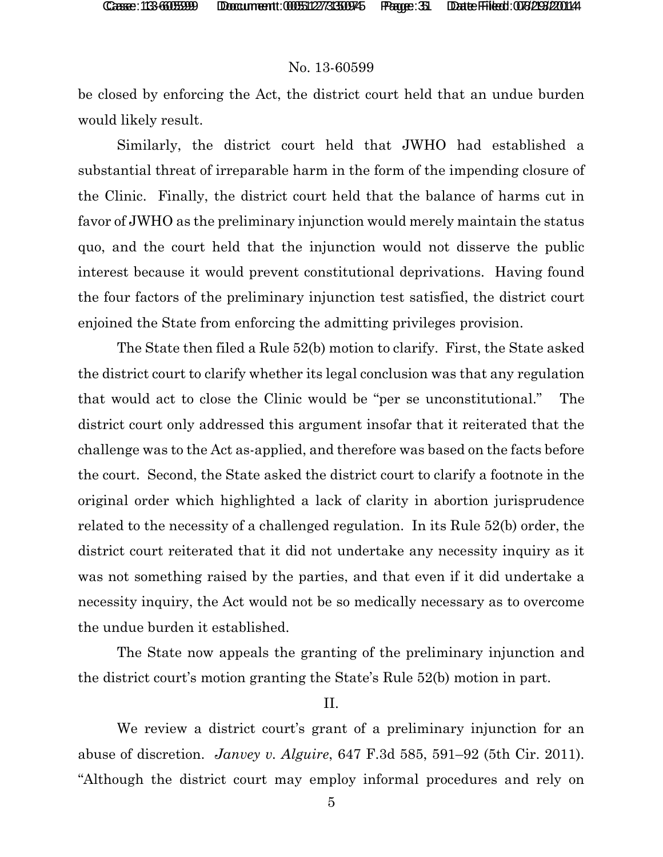#### No. 13-60599

be closed by enforcing the Act, the district court held that an undue burden would likely result.

Similarly, the district court held that JWHO had established a substantial threat of irreparable harm in the form of the impending closure of the Clinic. Finally, the district court held that the balance of harms cut in favor of JWHO as the preliminary injunction would merely maintain the status quo, and the court held that the injunction would not disserve the public interest because it would prevent constitutional deprivations. Having found the four factors of the preliminary injunction test satisfied, the district court enjoined the State from enforcing the admitting privileges provision.

The State then filed a Rule 52(b) motion to clarify. First, the State asked the district court to clarify whether its legal conclusion was that any regulation that would act to close the Clinic would be "per se unconstitutional." The district court only addressed this argument insofar that it reiterated that the challenge was to the Act as-applied, and therefore was based on the facts before the court. Second, the State asked the district court to clarify a footnote in the original order which highlighted a lack of clarity in abortion jurisprudence related to the necessity of a challenged regulation. In its Rule 52(b) order, the district court reiterated that it did not undertake any necessity inquiry as it was not something raised by the parties, and that even if it did undertake a necessity inquiry, the Act would not be so medically necessary as to overcome the undue burden it established.

The State now appeals the granting of the preliminary injunction and the district court's motion granting the State's Rule 52(b) motion in part.

#### II.

We review a district court's grant of a preliminary injunction for an abuse of discretion. *Janvey v. Alguire*, 647 F.3d 585, 591–92 (5th Cir. 2011). "Although the district court may employ informal procedures and rely on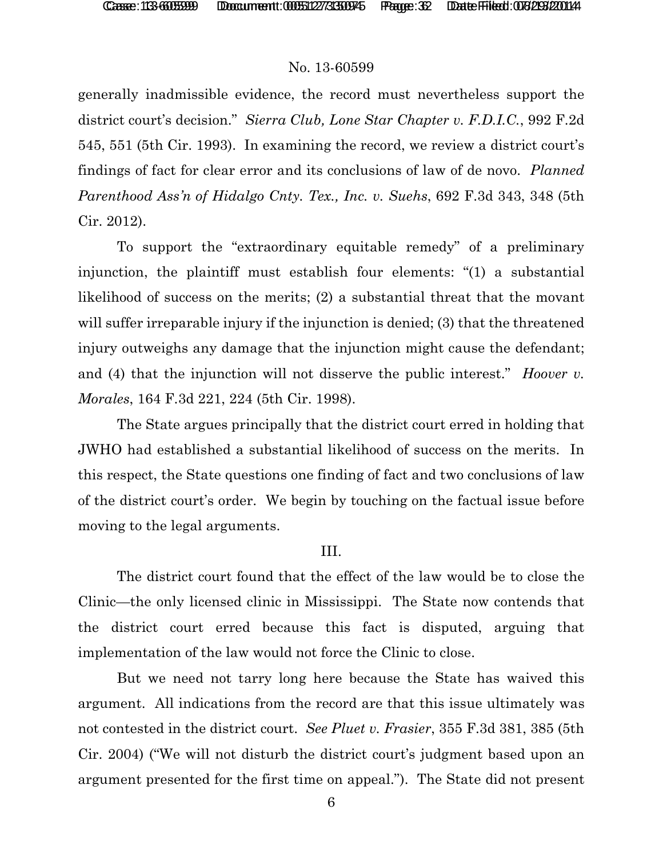### No. 13-60599

generally inadmissible evidence, the record must nevertheless support the district court's decision." *Sierra Club, Lone Star Chapter v. F.D.I.C.*, 992 F.2d 545, 551 (5th Cir. 1993). In examining the record, we review a district court's findings of fact for clear error and its conclusions of law of de novo. *Planned Parenthood Ass'n of Hidalgo Cnty. Tex., Inc. v. Suehs*, 692 F.3d 343, 348 (5th Cir. 2012).

To support the "extraordinary equitable remedy" of a preliminary injunction, the plaintiff must establish four elements: "(1) a substantial likelihood of success on the merits; (2) a substantial threat that the movant will suffer irreparable injury if the injunction is denied; (3) that the threatened injury outweighs any damage that the injunction might cause the defendant; and (4) that the injunction will not disserve the public interest." *Hoover v. Morales*, 164 F.3d 221, 224 (5th Cir. 1998).

The State argues principally that the district court erred in holding that JWHO had established a substantial likelihood of success on the merits. In this respect, the State questions one finding of fact and two conclusions of law of the district court's order. We begin by touching on the factual issue before moving to the legal arguments.

### III.

The district court found that the effect of the law would be to close the Clinic—the only licensed clinic in Mississippi. The State now contends that the district court erred because this fact is disputed, arguing that implementation of the law would not force the Clinic to close.

But we need not tarry long here because the State has waived this argument. All indications from the record are that this issue ultimately was not contested in the district court. *See Pluet v. Frasier*, 355 F.3d 381, 385 (5th Cir. 2004) ("We will not disturb the district court's judgment based upon an argument presented for the first time on appeal."). The State did not present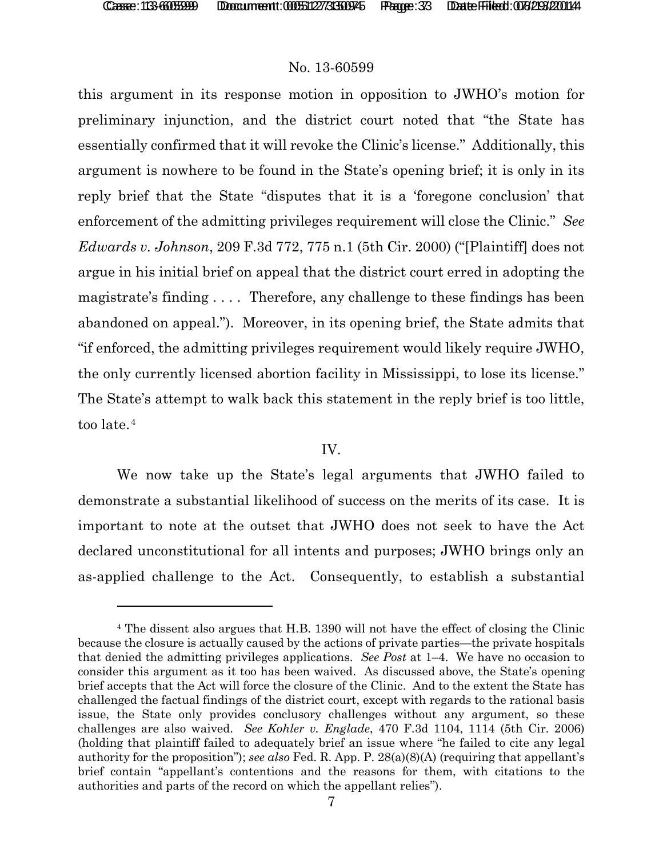#### No. 13-60599

this argument in its response motion in opposition to JWHO's motion for preliminary injunction, and the district court noted that "the State has essentially confirmed that it will revoke the Clinic's license." Additionally, this argument is nowhere to be found in the State's opening brief; it is only in its reply brief that the State "disputes that it is a 'foregone conclusion' that enforcement of the admitting privileges requirement will close the Clinic." *See Edwards v. Johnson*, 209 F.3d 772, 775 n.1 (5th Cir. 2000) ("[Plaintiff] does not argue in his initial brief on appeal that the district court erred in adopting the magistrate's finding . . . . Therefore, any challenge to these findings has been abandoned on appeal."). Moreover, in its opening brief, the State admits that "if enforced, the admitting privileges requirement would likely require JWHO, the only currently licensed abortion facility in Mississippi, to lose its license." The State's attempt to walk back this statement in the reply brief is too little, too late.[4](#page-32-0)

#### IV.

We now take up the State's legal arguments that JWHO failed to demonstrate a substantial likelihood of success on the merits of its case. It is important to note at the outset that JWHO does not seek to have the Act declared unconstitutional for all intents and purposes; JWHO brings only an as-applied challenge to the Act. Consequently, to establish a substantial

<span id="page-32-0"></span><sup>4</sup> The dissent also argues that H.B. 1390 will not have the effect of closing the Clinic because the closure is actually caused by the actions of private parties—the private hospitals that denied the admitting privileges applications. *See Post* at 1–4. We have no occasion to consider this argument as it too has been waived. As discussed above, the State's opening brief accepts that the Act will force the closure of the Clinic. And to the extent the State has challenged the factual findings of the district court, except with regards to the rational basis issue, the State only provides conclusory challenges without any argument, so these challenges are also waived. *See Kohler v. Englade*, 470 F.3d 1104, 1114 (5th Cir. 2006) (holding that plaintiff failed to adequately brief an issue where "he failed to cite any legal authority for the proposition"); *see also* Fed. R. App. P. 28(a)(8)(A) (requiring that appellant's brief contain "appellant's contentions and the reasons for them, with citations to the authorities and parts of the record on which the appellant relies").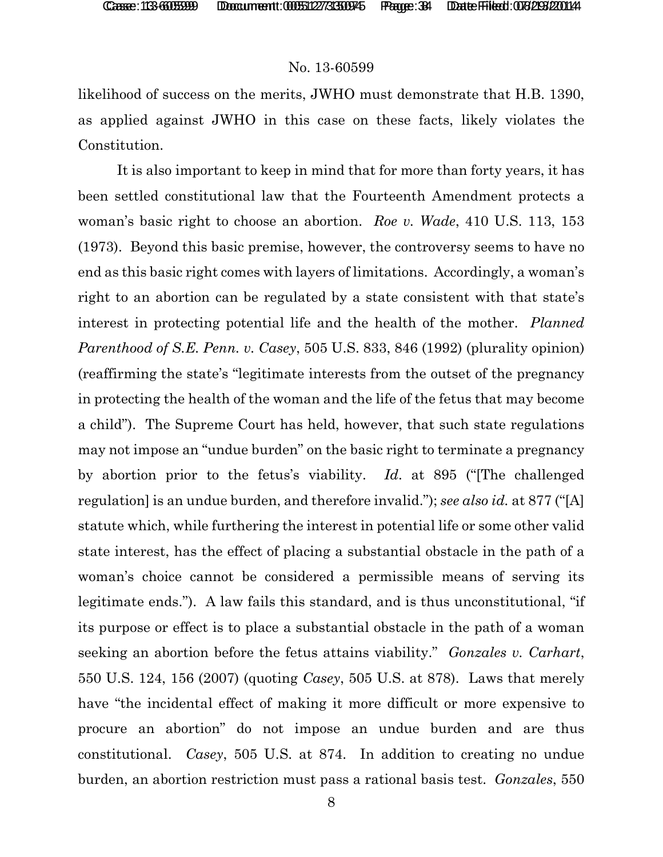#### No. 13-60599

likelihood of success on the merits, JWHO must demonstrate that H.B. 1390, as applied against JWHO in this case on these facts, likely violates the Constitution.

It is also important to keep in mind that for more than forty years, it has been settled constitutional law that the Fourteenth Amendment protects a woman's basic right to choose an abortion. *Roe v. Wade*, 410 U.S. 113, 153 (1973). Beyond this basic premise, however, the controversy seems to have no end as this basic right comes with layers of limitations. Accordingly, a woman's right to an abortion can be regulated by a state consistent with that state's interest in protecting potential life and the health of the mother. *Planned Parenthood of S.E. Penn. v. Casey*, 505 U.S. 833, 846 (1992) (plurality opinion) (reaffirming the state's "legitimate interests from the outset of the pregnancy in protecting the health of the woman and the life of the fetus that may become a child"). The Supreme Court has held, however, that such state regulations may not impose an "undue burden" on the basic right to terminate a pregnancy by abortion prior to the fetus's viability. *Id*. at 895 ("[The challenged regulation] is an undue burden, and therefore invalid."); *see also id.* at 877 ("[A] statute which, while furthering the interest in potential life or some other valid state interest, has the effect of placing a substantial obstacle in the path of a woman's choice cannot be considered a permissible means of serving its legitimate ends."). A law fails this standard, and is thus unconstitutional, "if its purpose or effect is to place a substantial obstacle in the path of a woman seeking an abortion before the fetus attains viability." *Gonzales v. Carhart*, 550 U.S. 124, 156 (2007) (quoting *Casey*, 505 U.S. at 878). Laws that merely have "the incidental effect of making it more difficult or more expensive to procure an abortion" do not impose an undue burden and are thus constitutional. *Casey*, 505 U.S. at 874. In addition to creating no undue burden, an abortion restriction must pass a rational basis test. *Gonzales*, 550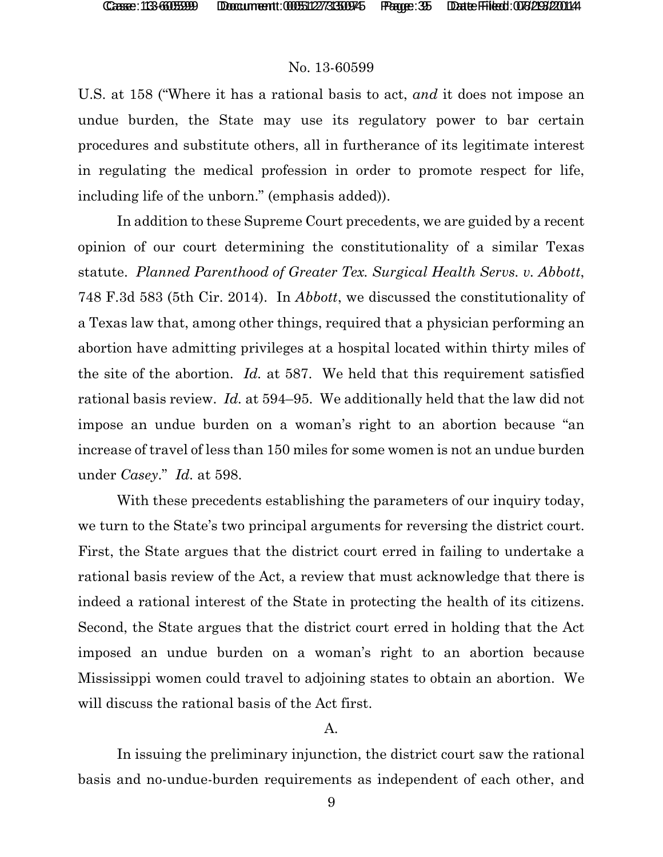#### No. 13-60599

U.S. at 158 ("Where it has a rational basis to act, *and* it does not impose an undue burden, the State may use its regulatory power to bar certain procedures and substitute others, all in furtherance of its legitimate interest in regulating the medical profession in order to promote respect for life, including life of the unborn." (emphasis added)).

In addition to these Supreme Court precedents, we are guided by a recent opinion of our court determining the constitutionality of a similar Texas statute. *Planned Parenthood of Greater Tex. Surgical Health Servs. v. Abbott*, 748 F.3d 583 (5th Cir. 2014). In *Abbott*, we discussed the constitutionality of a Texas law that, among other things, required that a physician performing an abortion have admitting privileges at a hospital located within thirty miles of the site of the abortion. *Id.* at 587. We held that this requirement satisfied rational basis review. *Id.* at 594–95. We additionally held that the law did not impose an undue burden on a woman's right to an abortion because "an increase of travel of less than 150 miles for some women is not an undue burden under *Casey*." *Id.* at 598.

With these precedents establishing the parameters of our inquiry today, we turn to the State's two principal arguments for reversing the district court. First, the State argues that the district court erred in failing to undertake a rational basis review of the Act, a review that must acknowledge that there is indeed a rational interest of the State in protecting the health of its citizens. Second, the State argues that the district court erred in holding that the Act imposed an undue burden on a woman's right to an abortion because Mississippi women could travel to adjoining states to obtain an abortion. We will discuss the rational basis of the Act first.

#### A.

In issuing the preliminary injunction, the district court saw the rational basis and no-undue-burden requirements as independent of each other, and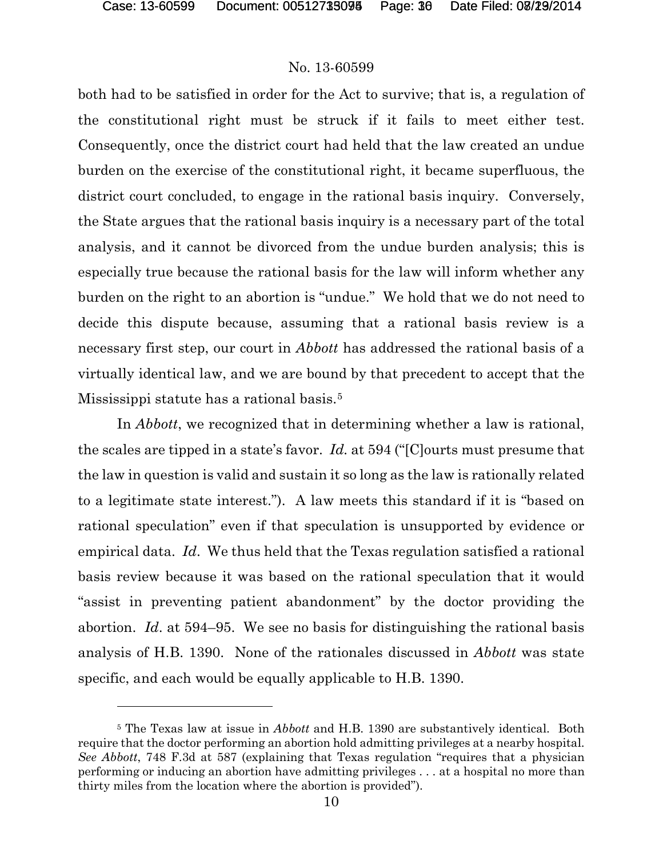l

#### No. 13-60599

both had to be satisfied in order for the Act to survive; that is, a regulation of the constitutional right must be struck if it fails to meet either test. Consequently, once the district court had held that the law created an undue burden on the exercise of the constitutional right, it became superfluous, the district court concluded, to engage in the rational basis inquiry. Conversely, the State argues that the rational basis inquiry is a necessary part of the total analysis, and it cannot be divorced from the undue burden analysis; this is especially true because the rational basis for the law will inform whether any burden on the right to an abortion is "undue." We hold that we do not need to decide this dispute because, assuming that a rational basis review is a necessary first step, our court in *Abbott* has addressed the rational basis of a virtually identical law, and we are bound by that precedent to accept that the Mississippi statute has a rational basis.[5](#page-35-0)

In *Abbott*, we recognized that in determining whether a law is rational, the scales are tipped in a state's favor. *Id.* at 594 ("[C]ourts must presume that the law in question is valid and sustain it so long as the law is rationally related to a legitimate state interest."). A law meets this standard if it is "based on rational speculation" even if that speculation is unsupported by evidence or empirical data. *Id*. We thus held that the Texas regulation satisfied a rational basis review because it was based on the rational speculation that it would "assist in preventing patient abandonment" by the doctor providing the abortion. *Id*. at 594–95. We see no basis for distinguishing the rational basis analysis of H.B. 1390. None of the rationales discussed in *Abbott* was state specific, and each would be equally applicable to H.B. 1390.

<span id="page-35-0"></span><sup>5</sup> The Texas law at issue in *Abbott* and H.B. 1390 are substantively identical. Both require that the doctor performing an abortion hold admitting privileges at a nearby hospital. *See Abbott*, 748 F.3d at 587 (explaining that Texas regulation "requires that a physician performing or inducing an abortion have admitting privileges . . . at a hospital no more than thirty miles from the location where the abortion is provided").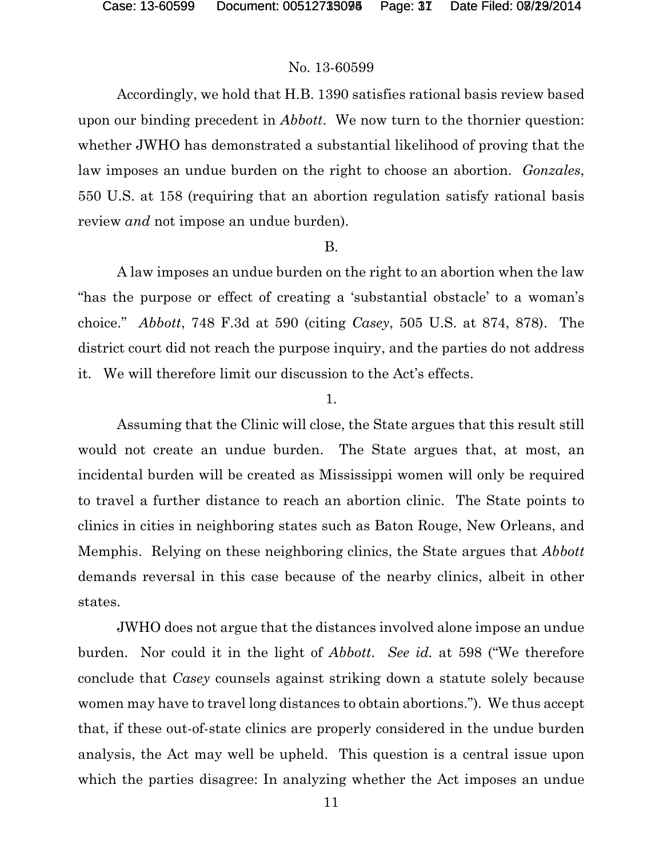#### No. 13-60599

Accordingly, we hold that H.B. 1390 satisfies rational basis review based upon our binding precedent in *Abbott*. We now turn to the thornier question: whether JWHO has demonstrated a substantial likelihood of proving that the law imposes an undue burden on the right to choose an abortion. *Gonzales*, 550 U.S. at 158 (requiring that an abortion regulation satisfy rational basis review *and* not impose an undue burden).

#### B.

A law imposes an undue burden on the right to an abortion when the law "has the purpose or effect of creating a 'substantial obstacle' to a woman's choice." *Abbott*, 748 F.3d at 590 (citing *Casey*, 505 U.S. at 874, 878). The district court did not reach the purpose inquiry, and the parties do not address it. We will therefore limit our discussion to the Act's effects.

#### 1.

Assuming that the Clinic will close, the State argues that this result still would not create an undue burden. The State argues that, at most, an incidental burden will be created as Mississippi women will only be required to travel a further distance to reach an abortion clinic. The State points to clinics in cities in neighboring states such as Baton Rouge, New Orleans, and Memphis. Relying on these neighboring clinics, the State argues that *Abbott* demands reversal in this case because of the nearby clinics, albeit in other states.

JWHO does not argue that the distances involved alone impose an undue burden. Nor could it in the light of *Abbott*. *See id.* at 598 ("We therefore conclude that *Casey* counsels against striking down a statute solely because women may have to travel long distances to obtain abortions."). We thus accept that, if these out-of-state clinics are properly considered in the undue burden analysis, the Act may well be upheld. This question is a central issue upon which the parties disagree: In analyzing whether the Act imposes an undue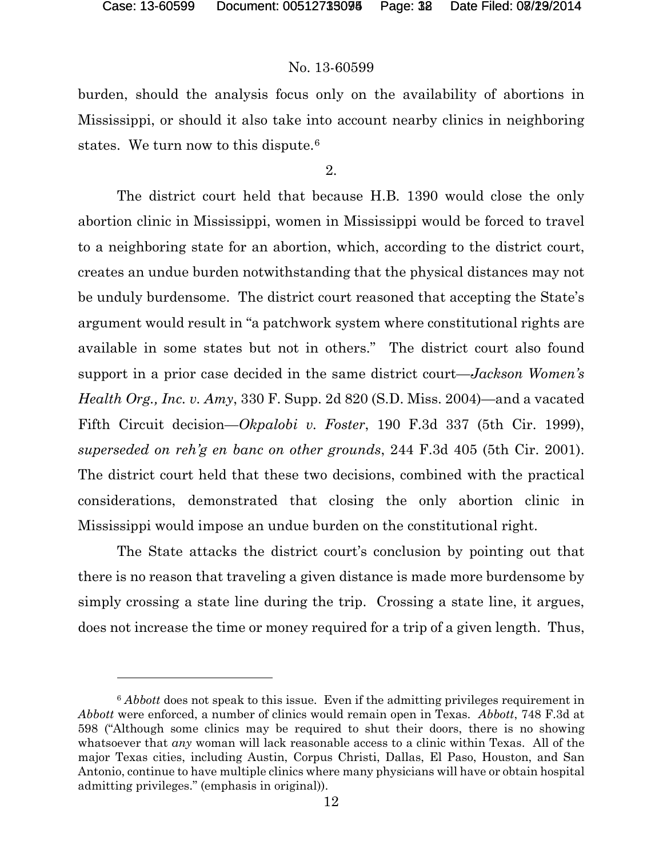### No. 13-60599

burden, should the analysis focus only on the availability of abortions in Mississippi, or should it also take into account nearby clinics in neighboring states. We turn now to this dispute.<sup>[6](#page-37-0)</sup>

2.

The district court held that because H.B. 1390 would close the only abortion clinic in Mississippi, women in Mississippi would be forced to travel to a neighboring state for an abortion, which, according to the district court, creates an undue burden notwithstanding that the physical distances may not be unduly burdensome. The district court reasoned that accepting the State's argument would result in "a patchwork system where constitutional rights are available in some states but not in others." The district court also found support in a prior case decided in the same district court—*Jackson Women's Health Org., Inc. v. Amy*, 330 F. Supp. 2d 820 (S.D. Miss. 2004)—and a vacated Fifth Circuit decision—*Okpalobi v. Foster*, 190 F.3d 337 (5th Cir. 1999), *superseded on reh'g en banc on other grounds*, 244 F.3d 405 (5th Cir. 2001). The district court held that these two decisions, combined with the practical considerations, demonstrated that closing the only abortion clinic in Mississippi would impose an undue burden on the constitutional right.

The State attacks the district court's conclusion by pointing out that there is no reason that traveling a given distance is made more burdensome by simply crossing a state line during the trip. Crossing a state line, it argues, does not increase the time or money required for a trip of a given length. Thus,

<span id="page-37-0"></span><sup>6</sup> *Abbott* does not speak to this issue. Even if the admitting privileges requirement in *Abbott* were enforced, a number of clinics would remain open in Texas. *Abbott*, 748 F.3d at 598 ("Although some clinics may be required to shut their doors, there is no showing whatsoever that *any* woman will lack reasonable access to a clinic within Texas. All of the major Texas cities, including Austin, Corpus Christi, Dallas, El Paso, Houston, and San Antonio, continue to have multiple clinics where many physicians will have or obtain hospital admitting privileges." (emphasis in original)).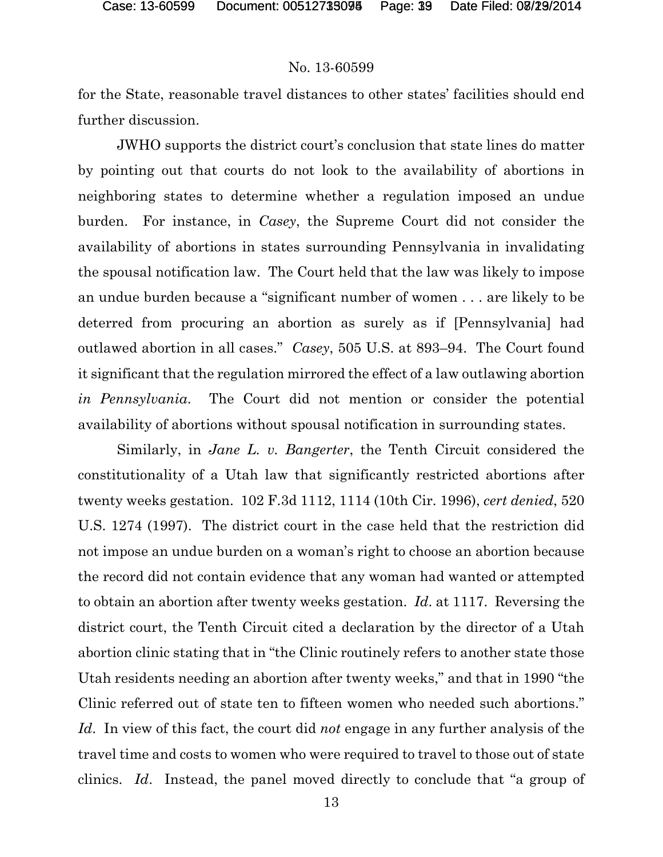#### No. 13-60599

for the State, reasonable travel distances to other states' facilities should end further discussion.

JWHO supports the district court's conclusion that state lines do matter by pointing out that courts do not look to the availability of abortions in neighboring states to determine whether a regulation imposed an undue burden. For instance, in *Casey*, the Supreme Court did not consider the availability of abortions in states surrounding Pennsylvania in invalidating the spousal notification law. The Court held that the law was likely to impose an undue burden because a "significant number of women . . . are likely to be deterred from procuring an abortion as surely as if [Pennsylvania] had outlawed abortion in all cases." *Casey*, 505 U.S. at 893–94. The Court found it significant that the regulation mirrored the effect of a law outlawing abortion *in Pennsylvania*. The Court did not mention or consider the potential availability of abortions without spousal notification in surrounding states.

Similarly, in *Jane L. v. Bangerter*, the Tenth Circuit considered the constitutionality of a Utah law that significantly restricted abortions after twenty weeks gestation. 102 F.3d 1112, 1114 (10th Cir. 1996), *cert denied*, 520 U.S. 1274 (1997). The district court in the case held that the restriction did not impose an undue burden on a woman's right to choose an abortion because the record did not contain evidence that any woman had wanted or attempted to obtain an abortion after twenty weeks gestation. *Id*. at 1117. Reversing the district court, the Tenth Circuit cited a declaration by the director of a Utah abortion clinic stating that in "the Clinic routinely refers to another state those Utah residents needing an abortion after twenty weeks," and that in 1990 "the Clinic referred out of state ten to fifteen women who needed such abortions." *Id*. In view of this fact, the court did *not* engage in any further analysis of the travel time and costs to women who were required to travel to those out of state clinics. *Id*. Instead, the panel moved directly to conclude that "a group of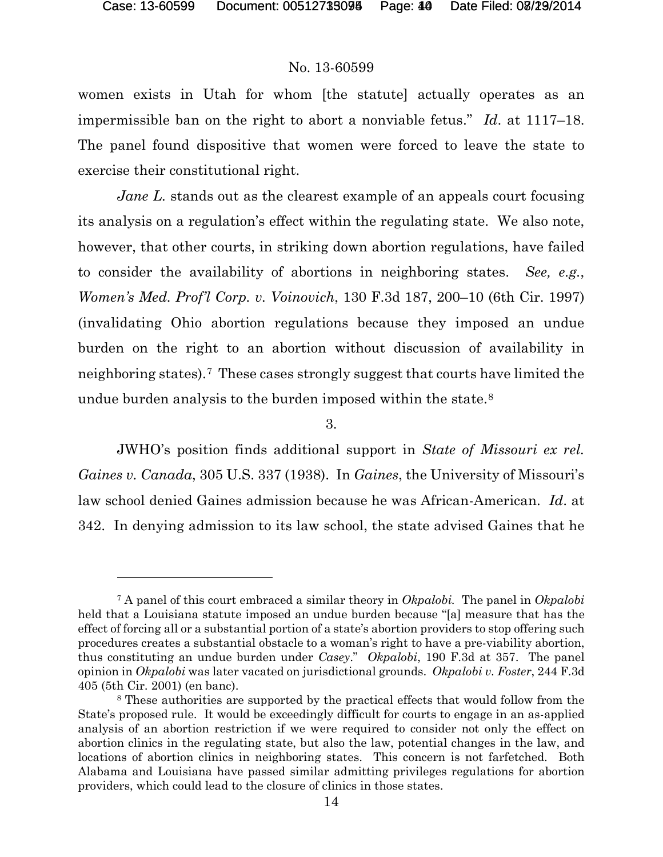### No. 13-60599

women exists in Utah for whom [the statute] actually operates as an impermissible ban on the right to abort a nonviable fetus." *Id*. at 1117–18. The panel found dispositive that women were forced to leave the state to exercise their constitutional right.

*Jane L*. stands out as the clearest example of an appeals court focusing its analysis on a regulation's effect within the regulating state. We also note, however, that other courts, in striking down abortion regulations, have failed to consider the availability of abortions in neighboring states. *See, e.g.*, *Women's Med. Prof'l Corp. v. Voinovich*, 130 F.3d 187, 200–10 (6th Cir. 1997) (invalidating Ohio abortion regulations because they imposed an undue burden on the right to an abortion without discussion of availability in neighboring states).[7](#page-39-0) These cases strongly suggest that courts have limited the undue burden analysis to the burden imposed within the state.<sup>[8](#page-39-1)</sup>

3.

JWHO's position finds additional support in *State of Missouri ex rel. Gaines v. Canada*, 305 U.S. 337 (1938). In *Gaines*, the University of Missouri's law school denied Gaines admission because he was African-American. *Id*. at 342. In denying admission to its law school, the state advised Gaines that he

<span id="page-39-0"></span><sup>7</sup> A panel of this court embraced a similar theory in *Okpalobi.* The panel in *Okpalobi* held that a Louisiana statute imposed an undue burden because "[a] measure that has the effect of forcing all or a substantial portion of a state's abortion providers to stop offering such procedures creates a substantial obstacle to a woman's right to have a pre-viability abortion, thus constituting an undue burden under *Casey*." *Okpalobi*, 190 F.3d at 357. The panel opinion in *Okpalobi* was later vacated on jurisdictional grounds. *Okpalobi v. Foster*, 244 F.3d 405 (5th Cir. 2001) (en banc).

<span id="page-39-1"></span><sup>8</sup> These authorities are supported by the practical effects that would follow from the State's proposed rule. It would be exceedingly difficult for courts to engage in an as-applied analysis of an abortion restriction if we were required to consider not only the effect on abortion clinics in the regulating state, but also the law, potential changes in the law, and locations of abortion clinics in neighboring states. This concern is not farfetched. Both Alabama and Louisiana have passed similar admitting privileges regulations for abortion providers, which could lead to the closure of clinics in those states.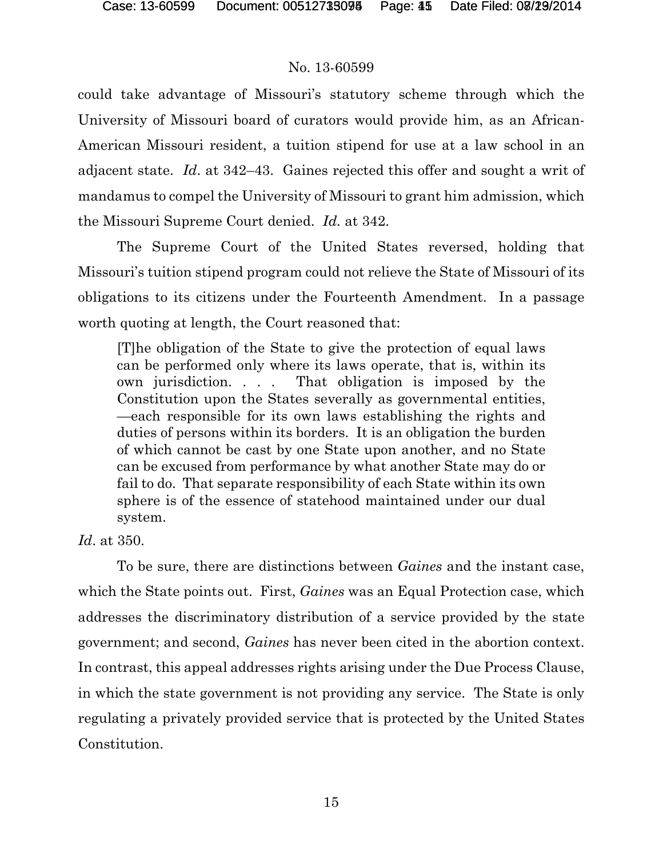### No. 13-60599

could take advantage of Missouri's statutory scheme through which the University of Missouri board of curators would provide him, as an African-American Missouri resident, a tuition stipend for use at a law school in an adjacent state. *Id*. at 342–43. Gaines rejected this offer and sought a writ of mandamus to compel the University of Missouri to grant him admission, which the Missouri Supreme Court denied. *Id.* at 342.

The Supreme Court of the United States reversed, holding that Missouri's tuition stipend program could not relieve the State of Missouri of its obligations to its citizens under the Fourteenth Amendment. In a passage worth quoting at length, the Court reasoned that:

[T]he obligation of the State to give the protection of equal laws can be performed only where its laws operate, that is, within its own jurisdiction. . . . That obligation is imposed by the Constitution upon the States severally as governmental entities, —each responsible for its own laws establishing the rights and duties of persons within its borders. It is an obligation the burden of which cannot be cast by one State upon another, and no State can be excused from performance by what another State may do or fail to do. That separate responsibility of each State within its own sphere is of the essence of statehood maintained under our dual system.

*Id*. at 350.

To be sure, there are distinctions between *Gaines* and the instant case, which the State points out. First, *Gaines* was an Equal Protection case, which addresses the discriminatory distribution of a service provided by the state government; and second, *Gaines* has never been cited in the abortion context. In contrast, this appeal addresses rights arising under the Due Process Clause, in which the state government is not providing any service. The State is only regulating a privately provided service that is protected by the United States Constitution.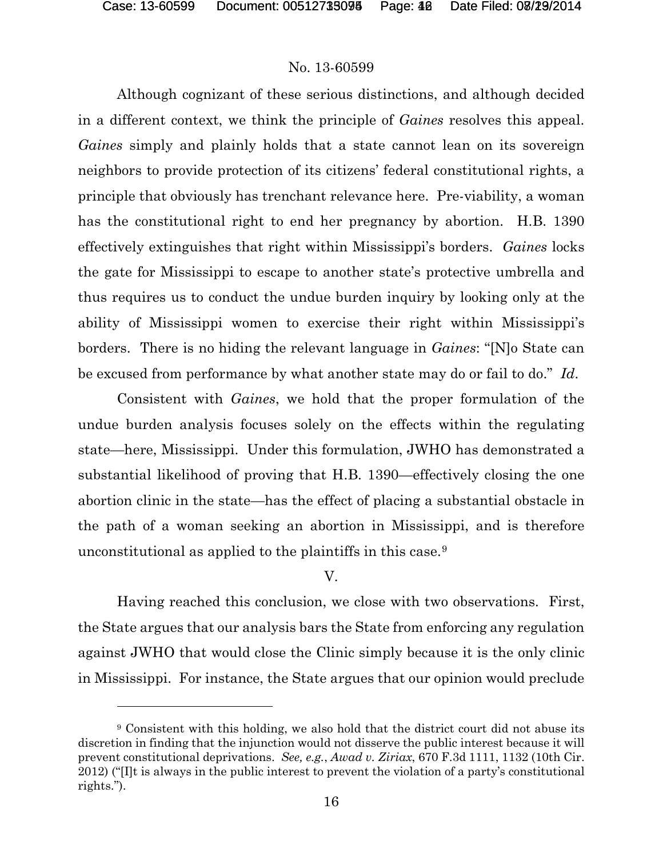l

#### No. 13-60599

Although cognizant of these serious distinctions, and although decided in a different context, we think the principle of *Gaines* resolves this appeal. *Gaines* simply and plainly holds that a state cannot lean on its sovereign neighbors to provide protection of its citizens' federal constitutional rights, a principle that obviously has trenchant relevance here. Pre-viability, a woman has the constitutional right to end her pregnancy by abortion. H.B. 1390 effectively extinguishes that right within Mississippi's borders. *Gaines* locks the gate for Mississippi to escape to another state's protective umbrella and thus requires us to conduct the undue burden inquiry by looking only at the ability of Mississippi women to exercise their right within Mississippi's borders. There is no hiding the relevant language in *Gaines*: "[N]o State can be excused from performance by what another state may do or fail to do." *Id*.

Consistent with *Gaines*, we hold that the proper formulation of the undue burden analysis focuses solely on the effects within the regulating state—here, Mississippi. Under this formulation, JWHO has demonstrated a substantial likelihood of proving that H.B. 1390—effectively closing the one abortion clinic in the state—has the effect of placing a substantial obstacle in the path of a woman seeking an abortion in Mississippi, and is therefore unconstitutional as applied to the plaintiffs in this case.[9](#page-41-0)

### V.

Having reached this conclusion, we close with two observations. First, the State argues that our analysis bars the State from enforcing any regulation against JWHO that would close the Clinic simply because it is the only clinic in Mississippi. For instance, the State argues that our opinion would preclude

<span id="page-41-0"></span><sup>9</sup> Consistent with this holding, we also hold that the district court did not abuse its discretion in finding that the injunction would not disserve the public interest because it will prevent constitutional deprivations. *See, e.g.*, *Awad v. Ziriax*, 670 F.3d 1111, 1132 (10th Cir. 2012) ("[I]t is always in the public interest to prevent the violation of a party's constitutional rights.").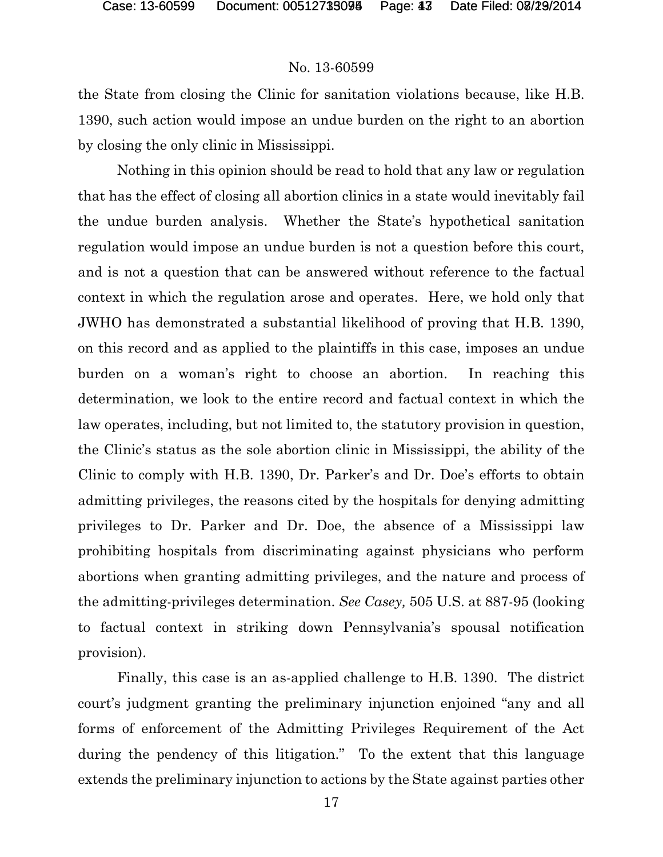#### No. 13-60599

the State from closing the Clinic for sanitation violations because, like H.B. 1390, such action would impose an undue burden on the right to an abortion by closing the only clinic in Mississippi.

Nothing in this opinion should be read to hold that any law or regulation that has the effect of closing all abortion clinics in a state would inevitably fail the undue burden analysis. Whether the State's hypothetical sanitation regulation would impose an undue burden is not a question before this court, and is not a question that can be answered without reference to the factual context in which the regulation arose and operates. Here, we hold only that JWHO has demonstrated a substantial likelihood of proving that H.B. 1390, on this record and as applied to the plaintiffs in this case, imposes an undue burden on a woman's right to choose an abortion. In reaching this determination, we look to the entire record and factual context in which the law operates, including, but not limited to, the statutory provision in question, the Clinic's status as the sole abortion clinic in Mississippi, the ability of the Clinic to comply with H.B. 1390, Dr. Parker's and Dr. Doe's efforts to obtain admitting privileges, the reasons cited by the hospitals for denying admitting privileges to Dr. Parker and Dr. Doe, the absence of a Mississippi law prohibiting hospitals from discriminating against physicians who perform abortions when granting admitting privileges, and the nature and process of the admitting-privileges determination. *See Casey,* 505 U.S. at 887-95 (looking to factual context in striking down Pennsylvania's spousal notification provision).

Finally, this case is an as-applied challenge to H.B. 1390. The district court's judgment granting the preliminary injunction enjoined "any and all forms of enforcement of the Admitting Privileges Requirement of the Act during the pendency of this litigation." To the extent that this language extends the preliminary injunction to actions by the State against parties other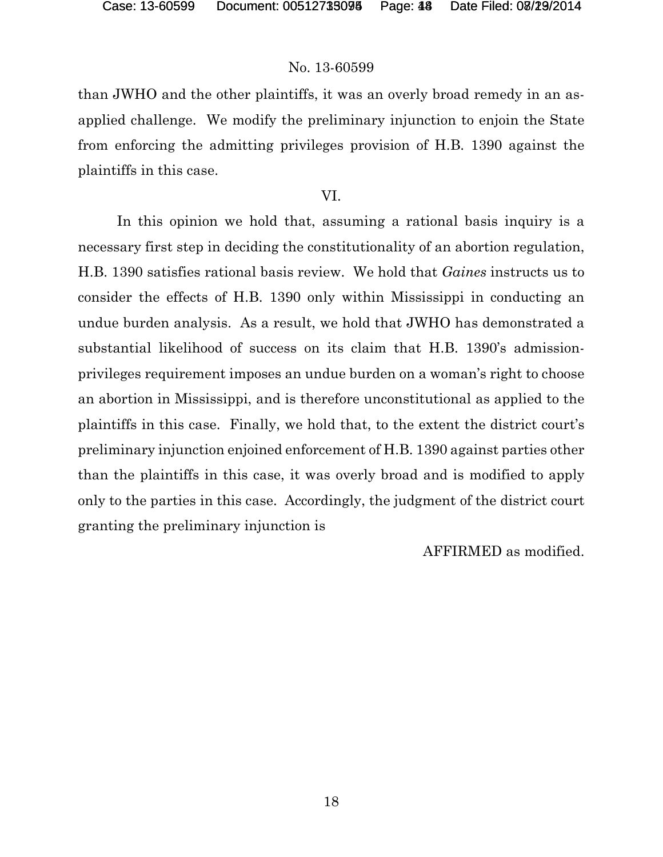#### No. 13-60599

than JWHO and the other plaintiffs, it was an overly broad remedy in an asapplied challenge. We modify the preliminary injunction to enjoin the State from enforcing the admitting privileges provision of H.B. 1390 against the plaintiffs in this case.

#### VI.

In this opinion we hold that, assuming a rational basis inquiry is a necessary first step in deciding the constitutionality of an abortion regulation, H.B. 1390 satisfies rational basis review. We hold that *Gaines* instructs us to consider the effects of H.B. 1390 only within Mississippi in conducting an undue burden analysis. As a result, we hold that JWHO has demonstrated a substantial likelihood of success on its claim that H.B. 1390's admissionprivileges requirement imposes an undue burden on a woman's right to choose an abortion in Mississippi, and is therefore unconstitutional as applied to the plaintiffs in this case. Finally, we hold that, to the extent the district court's preliminary injunction enjoined enforcement of H.B. 1390 against parties other than the plaintiffs in this case, it was overly broad and is modified to apply only to the parties in this case. Accordingly, the judgment of the district court granting the preliminary injunction is

AFFIRMED as modified.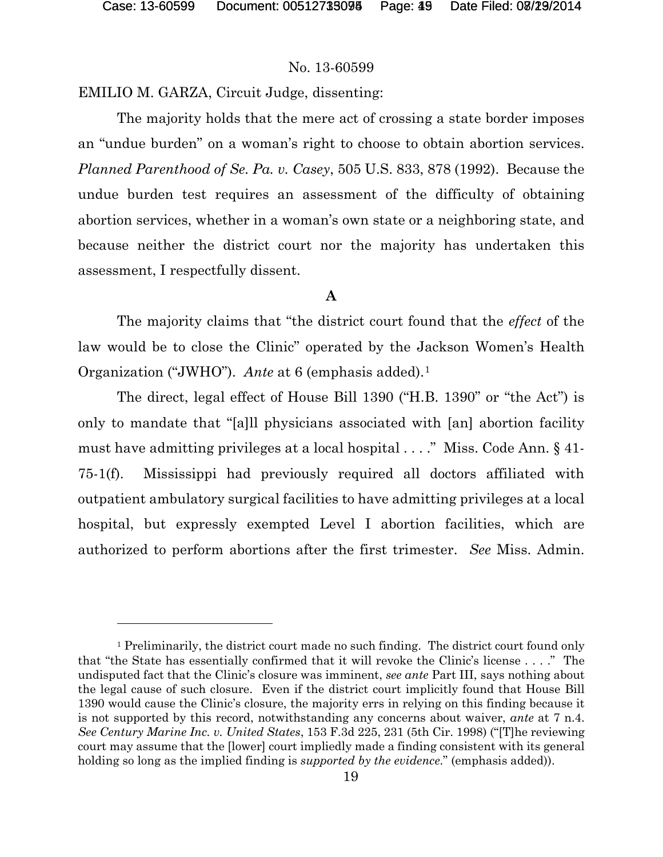#### No. 13-60599

EMILIO M. GARZA, Circuit Judge, dissenting:

The majority holds that the mere act of crossing a state border imposes an "undue burden" on a woman's right to choose to obtain abortion services. *Planned Parenthood of Se. Pa. v. Casey*, 505 U.S. 833, 878 (1992). Because the undue burden test requires an assessment of the difficulty of obtaining abortion services, whether in a woman's own state or a neighboring state, and because neither the district court nor the majority has undertaken this assessment, I respectfully dissent.

#### **A**

The majority claims that "the district court found that the *effect* of the law would be to close the Clinic" operated by the Jackson Women's Health Organization ("JWHO"). *Ante* at 6 (emphasis added).<sup>[1](#page-44-0)</sup>

The direct, legal effect of House Bill 1390 ("H.B. 1390" or "the Act") is only to mandate that "[a]ll physicians associated with [an] abortion facility must have admitting privileges at a local hospital . . . ." Miss. Code Ann. § 41- 75-1(f). Mississippi had previously required all doctors affiliated with outpatient ambulatory surgical facilities to have admitting privileges at a local hospital, but expressly exempted Level I abortion facilities, which are authorized to perform abortions after the first trimester. *See* Miss. Admin.

<span id="page-44-0"></span><sup>&</sup>lt;sup>1</sup> Preliminarily, the district court made no such finding. The district court found only that "the State has essentially confirmed that it will revoke the Clinic's license . . . ." The undisputed fact that the Clinic's closure was imminent, *see ante* Part III, says nothing about the legal cause of such closure. Even if the district court implicitly found that House Bill 1390 would cause the Clinic's closure, the majority errs in relying on this finding because it is not supported by this record, notwithstanding any concerns about waiver, *ante* at 7 n.4. *See Century Marine Inc. v. United States*, 153 F.3d 225, 231 (5th Cir. 1998) ("[T]he reviewing court may assume that the [lower] court impliedly made a finding consistent with its general holding so long as the implied finding is *supported by the evidence*." (emphasis added)).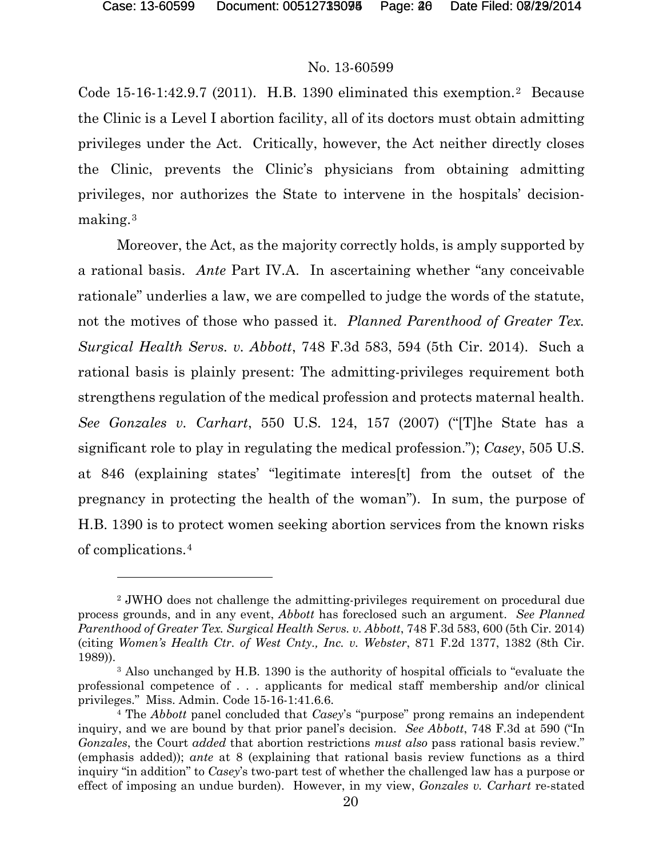### No. 13-60599

Code 15-16-1:4[2](#page-45-0).9.7 (2011). H.B. 1390 eliminated this exemption.<sup>2</sup> Because the Clinic is a Level I abortion facility, all of its doctors must obtain admitting privileges under the Act. Critically, however, the Act neither directly closes the Clinic, prevents the Clinic's physicians from obtaining admitting privileges, nor authorizes the State to intervene in the hospitals' decisionmaking.[3](#page-45-1)

Moreover, the Act, as the majority correctly holds, is amply supported by a rational basis. *Ante* Part IV.A. In ascertaining whether "any conceivable rationale" underlies a law, we are compelled to judge the words of the statute, not the motives of those who passed it. *Planned Parenthood of Greater Tex. Surgical Health Servs. v. Abbott*, 748 F.3d 583, 594 (5th Cir. 2014). Such a rational basis is plainly present: The admitting-privileges requirement both strengthens regulation of the medical profession and protects maternal health. *See Gonzales v. Carhart*, 550 U.S. 124, 157 (2007) ("[T]he State has a significant role to play in regulating the medical profession."); *Casey*, 505 U.S. at 846 (explaining states' "legitimate interes[t] from the outset of the pregnancy in protecting the health of the woman"). In sum, the purpose of H.B. 1390 is to protect women seeking abortion services from the known risks of complications.[4](#page-45-2)

<span id="page-45-0"></span><sup>2</sup> JWHO does not challenge the admitting-privileges requirement on procedural due process grounds, and in any event, *Abbott* has foreclosed such an argument. *See Planned Parenthood of Greater Tex. Surgical Health Servs. v. Abbott*, 748 F.3d 583, 600 (5th Cir. 2014) (citing *Women's Health Ctr. of West Cnty., Inc. v. Webster*, 871 F.2d 1377, 1382 (8th Cir. 1989)).

<span id="page-45-1"></span><sup>3</sup> Also unchanged by H.B. 1390 is the authority of hospital officials to "evaluate the professional competence of . . . applicants for medical staff membership and/or clinical privileges." Miss. Admin. Code 15-16-1:41.6.6.

<span id="page-45-2"></span><sup>4</sup> The *Abbott* panel concluded that *Casey*'s "purpose" prong remains an independent inquiry, and we are bound by that prior panel's decision. *See Abbott*, 748 F.3d at 590 ("In *Gonzales*, the Court *added* that abortion restrictions *must also* pass rational basis review." (emphasis added)); *ante* at 8 (explaining that rational basis review functions as a third inquiry "in addition" to *Casey*'s two-part test of whether the challenged law has a purpose or effect of imposing an undue burden). However, in my view, *Gonzales v. Carhart* re-stated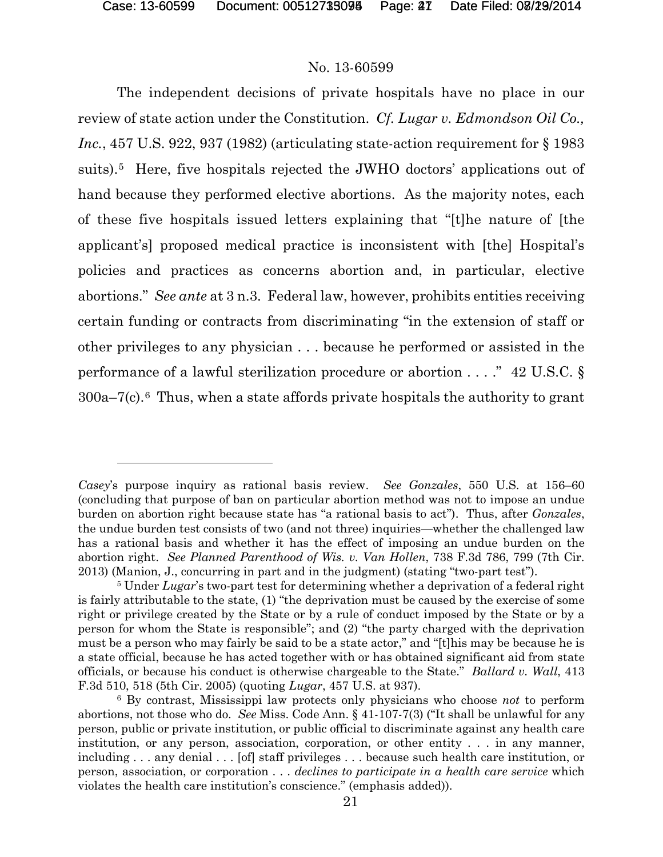#### No. 13-60599

The independent decisions of private hospitals have no place in our review of state action under the Constitution. *Cf. Lugar v. Edmondson Oil Co., Inc.*, 457 U.S. 922, 937 (1982) (articulating state-action requirement for § 1983 suits).[5](#page-46-0) Here, five hospitals rejected the JWHO doctors' applications out of hand because they performed elective abortions. As the majority notes, each of these five hospitals issued letters explaining that "[t]he nature of [the applicant's] proposed medical practice is inconsistent with [the] Hospital's policies and practices as concerns abortion and, in particular, elective abortions." *See ante* at 3 n.3. Federal law, however, prohibits entities receiving certain funding or contracts from discriminating "in the extension of staff or other privileges to any physician . . . because he performed or assisted in the performance of a lawful sterilization procedure or abortion . . . ." 42 U.S.C. § 300a–7(c).[6](#page-46-1) Thus, when a state affords private hospitals the authority to grant

*Casey*'s purpose inquiry as rational basis review. *See Gonzales*, 550 U.S. at 156–60 (concluding that purpose of ban on particular abortion method was not to impose an undue burden on abortion right because state has "a rational basis to act"). Thus, after *Gonzales*, the undue burden test consists of two (and not three) inquiries—whether the challenged law has a rational basis and whether it has the effect of imposing an undue burden on the abortion right. *See Planned Parenthood of Wis. v. Van Hollen*, 738 F.3d 786, 799 (7th Cir. 2013) (Manion, J., concurring in part and in the judgment) (stating "two-part test").

<span id="page-46-0"></span><sup>&</sup>lt;sup>5</sup> Under *Lugar*'s two-part test for determining whether a deprivation of a federal right is fairly attributable to the state, (1) "the deprivation must be caused by the exercise of some right or privilege created by the State or by a rule of conduct imposed by the State or by a person for whom the State is responsible"; and (2) "the party charged with the deprivation must be a person who may fairly be said to be a state actor," and "[t]his may be because he is a state official, because he has acted together with or has obtained significant aid from state officials, or because his conduct is otherwise chargeable to the State." *Ballard v. Wall*, 413 F.3d 510, 518 (5th Cir. 2005) (quoting *Lugar*, 457 U.S. at 937).

<span id="page-46-1"></span><sup>6</sup> By contrast, Mississippi law protects only physicians who choose *not* to perform abortions, not those who do. *See* Miss. Code Ann. § 41-107-7(3) ("It shall be unlawful for any person, public or private institution, or public official to discriminate against any health care institution, or any person, association, corporation, or other entity . . . in any manner, including . . . any denial . . . [of] staff privileges . . . because such health care institution, or person, association, or corporation . . . *declines to participate in a health care service* which violates the health care institution's conscience." (emphasis added)).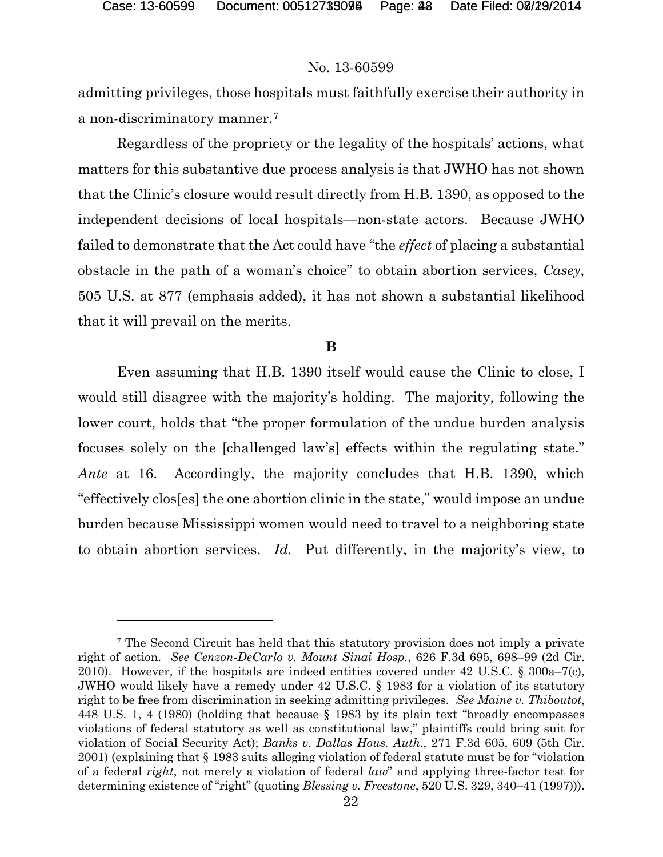#### No. 13-60599

admitting privileges, those hospitals must faithfully exercise their authority in a non-discriminatory manner.[7](#page-47-0)

Regardless of the propriety or the legality of the hospitals' actions, what matters for this substantive due process analysis is that JWHO has not shown that the Clinic's closure would result directly from H.B. 1390, as opposed to the independent decisions of local hospitals—non-state actors. Because JWHO failed to demonstrate that the Act could have "the *effect* of placing a substantial obstacle in the path of a woman's choice" to obtain abortion services, *Casey*, 505 U.S. at 877 (emphasis added), it has not shown a substantial likelihood that it will prevail on the merits.

#### **B**

Even assuming that H.B. 1390 itself would cause the Clinic to close, I would still disagree with the majority's holding. The majority, following the lower court, holds that "the proper formulation of the undue burden analysis focuses solely on the [challenged law's] effects within the regulating state." *Ante* at 16. Accordingly, the majority concludes that H.B. 1390, which "effectively clos[es] the one abortion clinic in the state," would impose an undue burden because Mississippi women would need to travel to a neighboring state to obtain abortion services. *Id.* Put differently, in the majority's view, to

<span id="page-47-0"></span><sup>7</sup> The Second Circuit has held that this statutory provision does not imply a private right of action. *See Cenzon-DeCarlo v. Mount Sinai Hosp.*, 626 F.3d 695, 698–99 (2d Cir. 2010). However, if the hospitals are indeed entities covered under 42 U.S.C. § 300a–7(c), JWHO would likely have a remedy under 42 U.S.C. § 1983 for a violation of its statutory right to be free from discrimination in seeking admitting privileges. *See Maine v. Thiboutot*, 448 U.S. 1, 4 (1980) (holding that because § 1983 by its plain text "broadly encompasses violations of federal statutory as well as constitutional law," plaintiffs could bring suit for violation of Social Security Act); *Banks v. Dallas Hous. Auth.*, 271 F.3d 605, 609 (5th Cir. 2001) (explaining that § 1983 suits alleging violation of federal statute must be for "violation of a federal *right*, not merely a violation of federal *law*" and applying three-factor test for determining existence of "right" (quoting *Blessing v. Freestone*, 520 U.S. 329, 340–41 (1997))).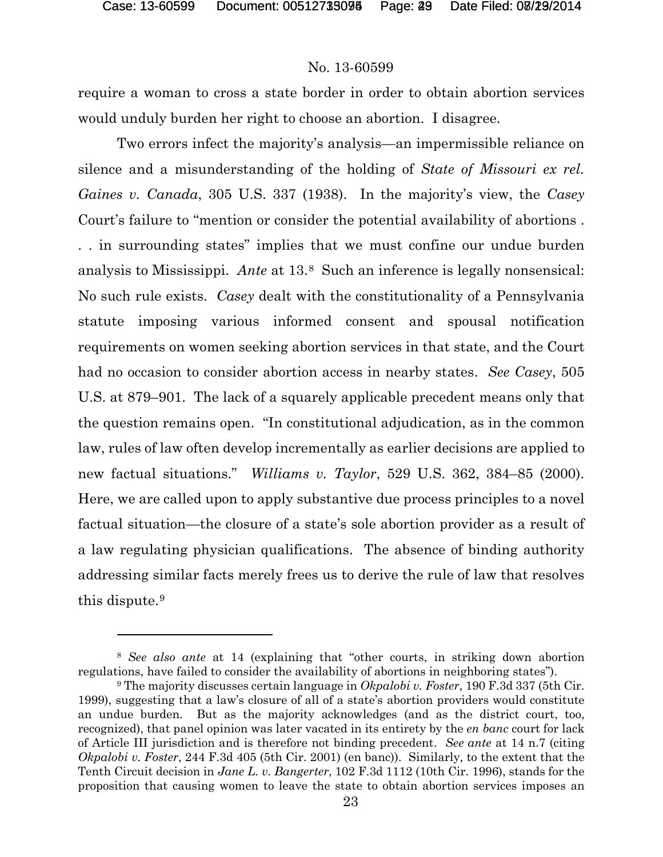### No. 13-60599

require a woman to cross a state border in order to obtain abortion services would unduly burden her right to choose an abortion. I disagree.

Two errors infect the majority's analysis—an impermissible reliance on silence and a misunderstanding of the holding of *State of Missouri ex rel. Gaines v. Canada*, 305 U.S. 337 (1938). In the majority's view, the *Casey*  Court's failure to "mention or consider the potential availability of abortions . . . in surrounding states" implies that we must confine our undue burden analysis to Mississippi. *Ante* at 13.[8](#page-48-0) Such an inference is legally nonsensical: No such rule exists. *Casey* dealt with the constitutionality of a Pennsylvania statute imposing various informed consent and spousal notification requirements on women seeking abortion services in that state, and the Court had no occasion to consider abortion access in nearby states. *See Casey*, 505 U.S. at 879–901. The lack of a squarely applicable precedent means only that the question remains open. "In constitutional adjudication, as in the common law, rules of law often develop incrementally as earlier decisions are applied to new factual situations." *Williams v. Taylor*, 529 U.S. 362, 384–85 (2000). Here, we are called upon to apply substantive due process principles to a novel factual situation—the closure of a state's sole abortion provider as a result of a law regulating physician qualifications. The absence of binding authority addressing similar facts merely frees us to derive the rule of law that resolves this dispute.[9](#page-48-1)

<span id="page-48-0"></span><sup>8</sup> *See also ante* at 14 (explaining that "other courts, in striking down abortion regulations, have failed to consider the availability of abortions in neighboring states").

<span id="page-48-1"></span><sup>9</sup> The majority discusses certain language in *Okpalobi v. Foster*, 190 F.3d 337 (5th Cir. 1999), suggesting that a law's closure of all of a state's abortion providers would constitute an undue burden. But as the majority acknowledges (and as the district court, too, recognized), that panel opinion was later vacated in its entirety by the *en banc* court for lack of Article III jurisdiction and is therefore not binding precedent. *See ante* at 14 n.7 (citing *Okpalobi v. Foster*, 244 F.3d 405 (5th Cir. 2001) (en banc)). Similarly, to the extent that the Tenth Circuit decision in *Jane L. v. Bangerter*, 102 F.3d 1112 (10th Cir. 1996), stands for the proposition that causing women to leave the state to obtain abortion services imposes an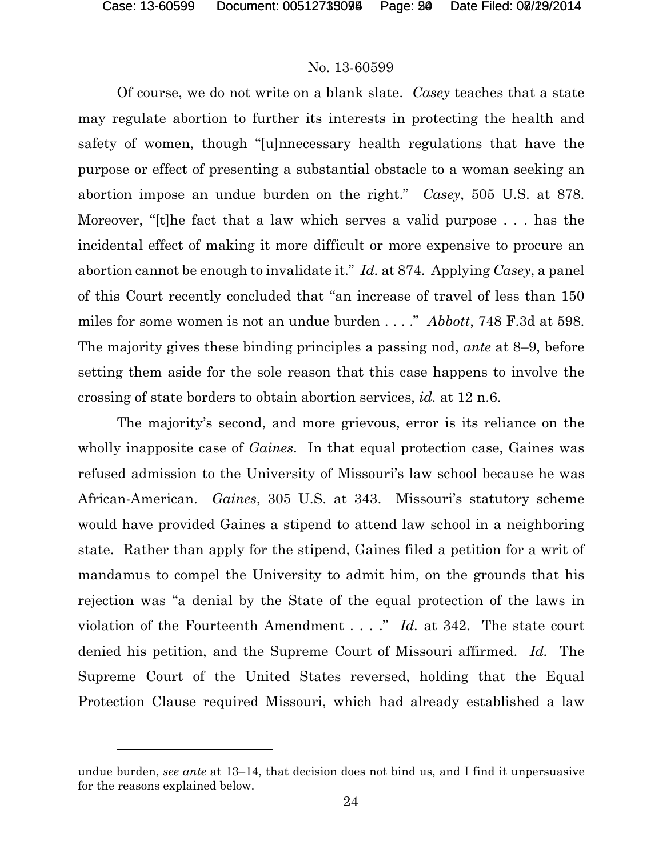l

### No. 13-60599

Of course, we do not write on a blank slate. *Casey* teaches that a state may regulate abortion to further its interests in protecting the health and safety of women, though "[u]nnecessary health regulations that have the purpose or effect of presenting a substantial obstacle to a woman seeking an abortion impose an undue burden on the right." *Casey*, 505 U.S. at 878. Moreover, "[t]he fact that a law which serves a valid purpose . . . has the incidental effect of making it more difficult or more expensive to procure an abortion cannot be enough to invalidate it." *Id.* at 874. Applying *Casey*, a panel of this Court recently concluded that "an increase of travel of less than 150 miles for some women is not an undue burden . . . ." *Abbott*, 748 F.3d at 598. The majority gives these binding principles a passing nod, *ante* at 8–9, before setting them aside for the sole reason that this case happens to involve the crossing of state borders to obtain abortion services, *id.* at 12 n.6.

The majority's second, and more grievous, error is its reliance on the wholly inapposite case of *Gaines*. In that equal protection case, Gaines was refused admission to the University of Missouri's law school because he was African-American. *Gaines*, 305 U.S. at 343. Missouri's statutory scheme would have provided Gaines a stipend to attend law school in a neighboring state. Rather than apply for the stipend, Gaines filed a petition for a writ of mandamus to compel the University to admit him, on the grounds that his rejection was "a denial by the State of the equal protection of the laws in violation of the Fourteenth Amendment . . . ." *Id.* at 342. The state court denied his petition, and the Supreme Court of Missouri affirmed. *Id.* The Supreme Court of the United States reversed, holding that the Equal Protection Clause required Missouri, which had already established a law

undue burden, *see ante* at 13–14, that decision does not bind us, and I find it unpersuasive for the reasons explained below.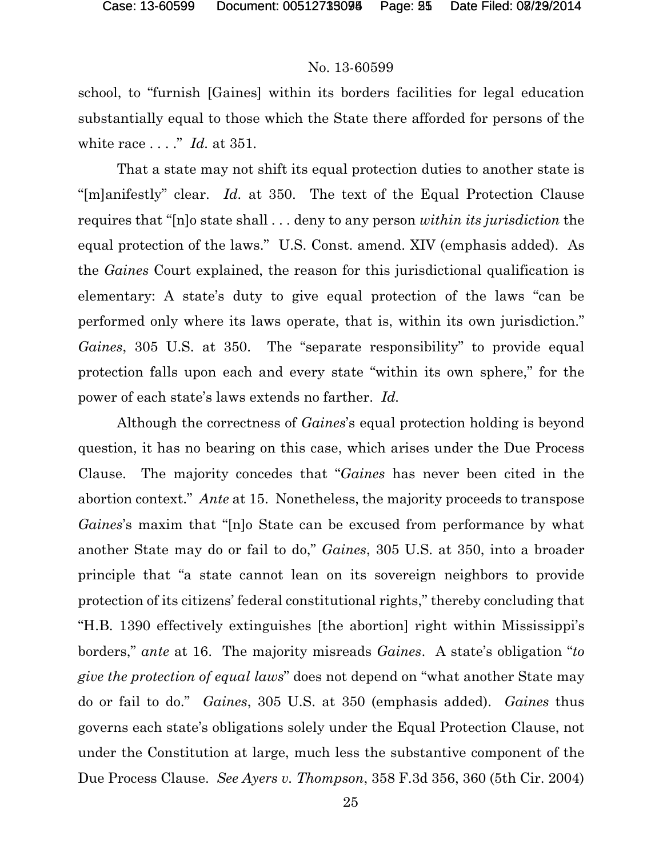### No. 13-60599

school, to "furnish [Gaines] within its borders facilities for legal education substantially equal to those which the State there afforded for persons of the white race . . . ." *Id.* at 351.

That a state may not shift its equal protection duties to another state is "[m]anifestly" clear. *Id.* at 350. The text of the Equal Protection Clause requires that "[n]o state shall . . . deny to any person *within its jurisdiction* the equal protection of the laws." U.S. Const. amend. XIV (emphasis added). As the *Gaines* Court explained, the reason for this jurisdictional qualification is elementary: A state's duty to give equal protection of the laws "can be performed only where its laws operate, that is, within its own jurisdiction." *Gaines*, 305 U.S. at 350. The "separate responsibility" to provide equal protection falls upon each and every state "within its own sphere," for the power of each state's laws extends no farther. *Id.*

Although the correctness of *Gaines*'s equal protection holding is beyond question, it has no bearing on this case, which arises under the Due Process Clause. The majority concedes that "*Gaines* has never been cited in the abortion context." *Ante* at 15. Nonetheless, the majority proceeds to transpose *Gaines*'s maxim that "[n]o State can be excused from performance by what another State may do or fail to do," *Gaines*, 305 U.S. at 350, into a broader principle that "a state cannot lean on its sovereign neighbors to provide protection of its citizens' federal constitutional rights," thereby concluding that "H.B. 1390 effectively extinguishes [the abortion] right within Mississippi's borders," *ante* at 16. The majority misreads *Gaines*. A state's obligation "*to give the protection of equal laws*" does not depend on "what another State may do or fail to do." *Gaines*, 305 U.S. at 350 (emphasis added). *Gaines* thus governs each state's obligations solely under the Equal Protection Clause, not under the Constitution at large, much less the substantive component of the Due Process Clause. *See Ayers v. Thompson*, 358 F.3d 356, 360 (5th Cir. 2004)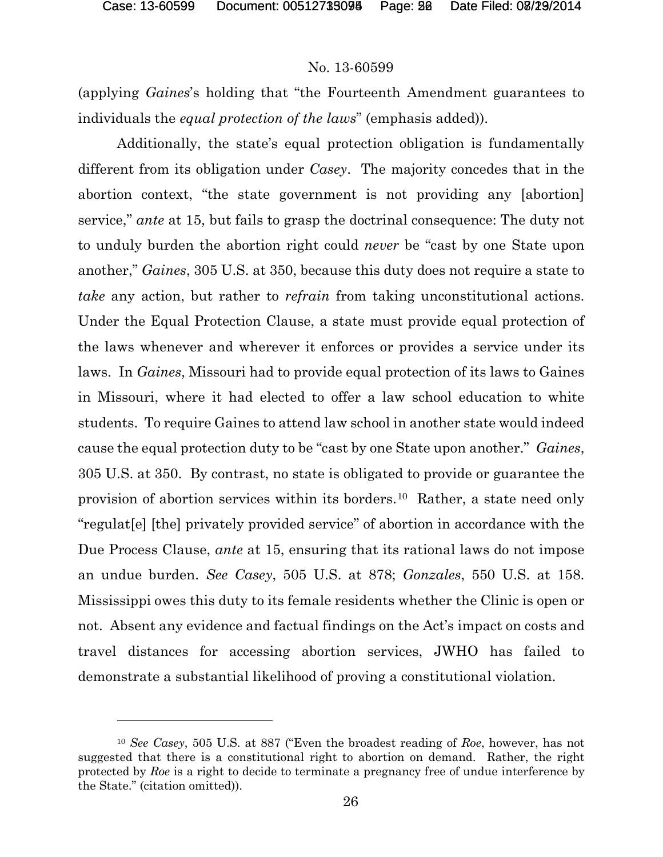### No. 13-60599

(applying *Gaines*'s holding that "the Fourteenth Amendment guarantees to individuals the *equal protection of the laws*" (emphasis added)).

Additionally, the state's equal protection obligation is fundamentally different from its obligation under *Casey*. The majority concedes that in the abortion context, "the state government is not providing any [abortion] service," *ante* at 15, but fails to grasp the doctrinal consequence: The duty not to unduly burden the abortion right could *never* be "cast by one State upon another," *Gaines*, 305 U.S. at 350, because this duty does not require a state to *take* any action, but rather to *refrain* from taking unconstitutional actions. Under the Equal Protection Clause, a state must provide equal protection of the laws whenever and wherever it enforces or provides a service under its laws. In *Gaines*, Missouri had to provide equal protection of its laws to Gaines in Missouri, where it had elected to offer a law school education to white students. To require Gaines to attend law school in another state would indeed cause the equal protection duty to be "cast by one State upon another." *Gaines*, 305 U.S. at 350. By contrast, no state is obligated to provide or guarantee the provision of abortion services within its borders.[10](#page-51-0) Rather, a state need only "regulat[e] [the] privately provided service" of abortion in accordance with the Due Process Clause, *ante* at 15, ensuring that its rational laws do not impose an undue burden. *See Casey*, 505 U.S. at 878; *Gonzales*, 550 U.S. at 158. Mississippi owes this duty to its female residents whether the Clinic is open or not. Absent any evidence and factual findings on the Act's impact on costs and travel distances for accessing abortion services, JWHO has failed to demonstrate a substantial likelihood of proving a constitutional violation.

<span id="page-51-0"></span><sup>10</sup> *See Casey*, 505 U.S. at 887 ("Even the broadest reading of *Roe*, however, has not suggested that there is a constitutional right to abortion on demand. Rather, the right protected by *Roe* is a right to decide to terminate a pregnancy free of undue interference by the State." (citation omitted)).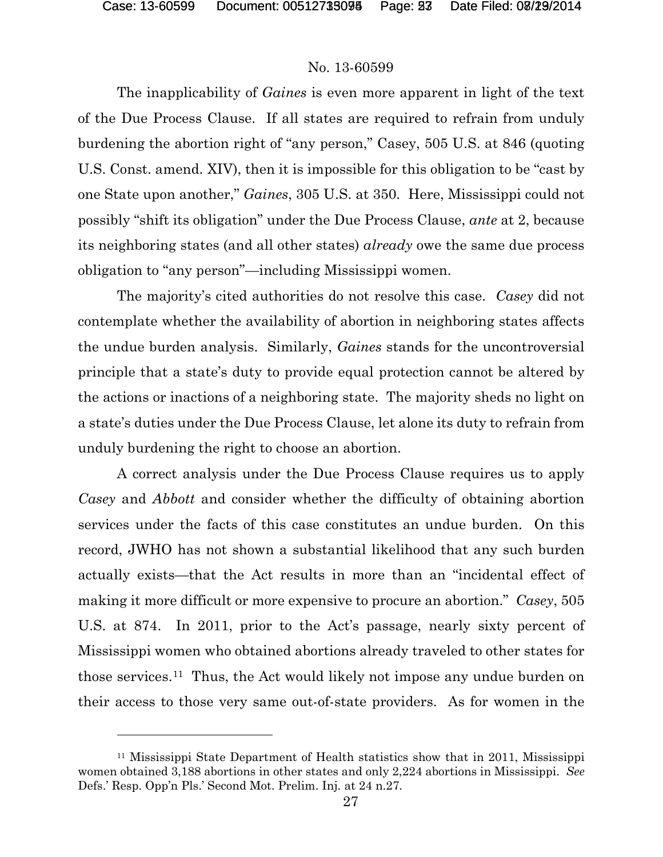### No. 13-60599

The inapplicability of *Gaines* is even more apparent in light of the text of the Due Process Clause. If all states are required to refrain from unduly burdening the abortion right of "any person," Casey, 505 U.S. at 846 (quoting U.S. Const. amend. XIV), then it is impossible for this obligation to be "cast by one State upon another," *Gaines*, 305 U.S. at 350. Here, Mississippi could not possibly "shift its obligation" under the Due Process Clause, *ante* at 2, because its neighboring states (and all other states) *already* owe the same due process obligation to "any person"—including Mississippi women.

The majority's cited authorities do not resolve this case. *Casey* did not contemplate whether the availability of abortion in neighboring states affects the undue burden analysis. Similarly, *Gaines* stands for the uncontroversial principle that a state's duty to provide equal protection cannot be altered by the actions or inactions of a neighboring state. The majority sheds no light on a state's duties under the Due Process Clause, let alone its duty to refrain from unduly burdening the right to choose an abortion.

A correct analysis under the Due Process Clause requires us to apply *Casey* and *Abbott* and consider whether the difficulty of obtaining abortion services under the facts of this case constitutes an undue burden. On this record, JWHO has not shown a substantial likelihood that any such burden actually exists—that the Act results in more than an "incidental effect of making it more difficult or more expensive to procure an abortion." *Casey*, 505 U.S. at 874. In 2011, prior to the Act's passage, nearly sixty percent of Mississippi women who obtained abortions already traveled to other states for those services.[11](#page-52-0) Thus, the Act would likely not impose any undue burden on their access to those very same out-of-state providers. As for women in the

<span id="page-52-0"></span><sup>11</sup> Mississippi State Department of Health statistics show that in 2011, Mississippi women obtained 3,188 abortions in other states and only 2,224 abortions in Mississippi. *See*  Defs.' Resp. Opp'n Pls.' Second Mot. Prelim. Inj. at 24 n.27.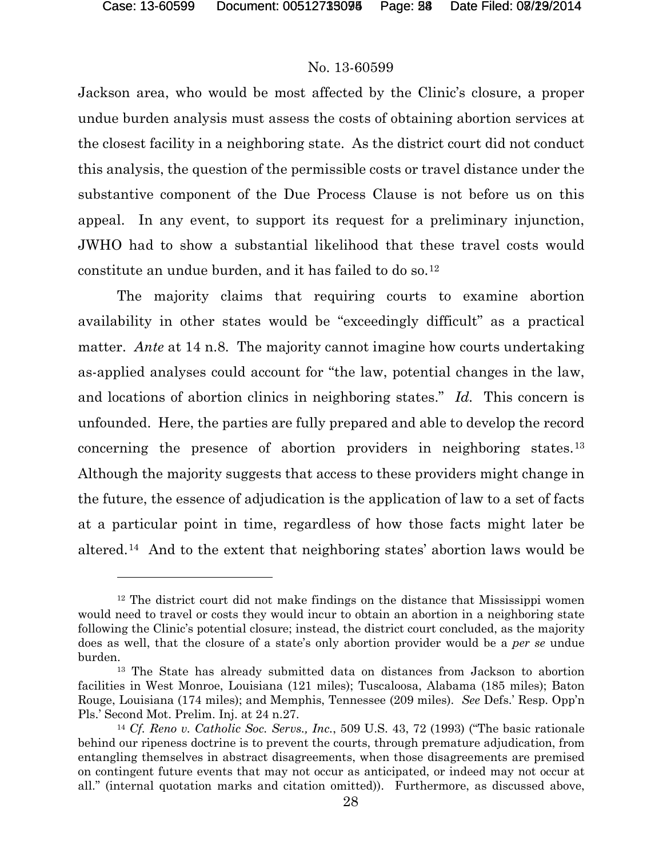#### No. 13-60599

Jackson area, who would be most affected by the Clinic's closure, a proper undue burden analysis must assess the costs of obtaining abortion services at the closest facility in a neighboring state. As the district court did not conduct this analysis, the question of the permissible costs or travel distance under the substantive component of the Due Process Clause is not before us on this appeal. In any event, to support its request for a preliminary injunction, JWHO had to show a substantial likelihood that these travel costs would constitute an undue burden, and it has failed to do so.[12](#page-53-0)

The majority claims that requiring courts to examine abortion availability in other states would be "exceedingly difficult" as a practical matter. *Ante* at 14 n.8. The majority cannot imagine how courts undertaking as-applied analyses could account for "the law, potential changes in the law, and locations of abortion clinics in neighboring states." *Id.* This concern is unfounded. Here, the parties are fully prepared and able to develop the record concerning the presence of abortion providers in neighboring states.[13](#page-53-1) Although the majority suggests that access to these providers might change in the future, the essence of adjudication is the application of law to a set of facts at a particular point in time, regardless of how those facts might later be altered.[14](#page-53-2) And to the extent that neighboring states' abortion laws would be

<span id="page-53-0"></span><sup>&</sup>lt;sup>12</sup> The district court did not make findings on the distance that Mississippi women would need to travel or costs they would incur to obtain an abortion in a neighboring state following the Clinic's potential closure; instead, the district court concluded, as the majority does as well, that the closure of a state's only abortion provider would be a *per se* undue burden.

<span id="page-53-1"></span><sup>13</sup> The State has already submitted data on distances from Jackson to abortion facilities in West Monroe, Louisiana (121 miles); Tuscaloosa, Alabama (185 miles); Baton Rouge, Louisiana (174 miles); and Memphis, Tennessee (209 miles). *See* Defs.' Resp. Opp'n Pls.' Second Mot. Prelim. Inj. at 24 n.27.

<span id="page-53-2"></span><sup>14</sup> *Cf. Reno v. Catholic Soc. Servs., Inc.*, 509 U.S. 43, 72 (1993) ("The basic rationale behind our ripeness doctrine is to prevent the courts, through premature adjudication, from entangling themselves in abstract disagreements, when those disagreements are premised on contingent future events that may not occur as anticipated, or indeed may not occur at all." (internal quotation marks and citation omitted)). Furthermore, as discussed above,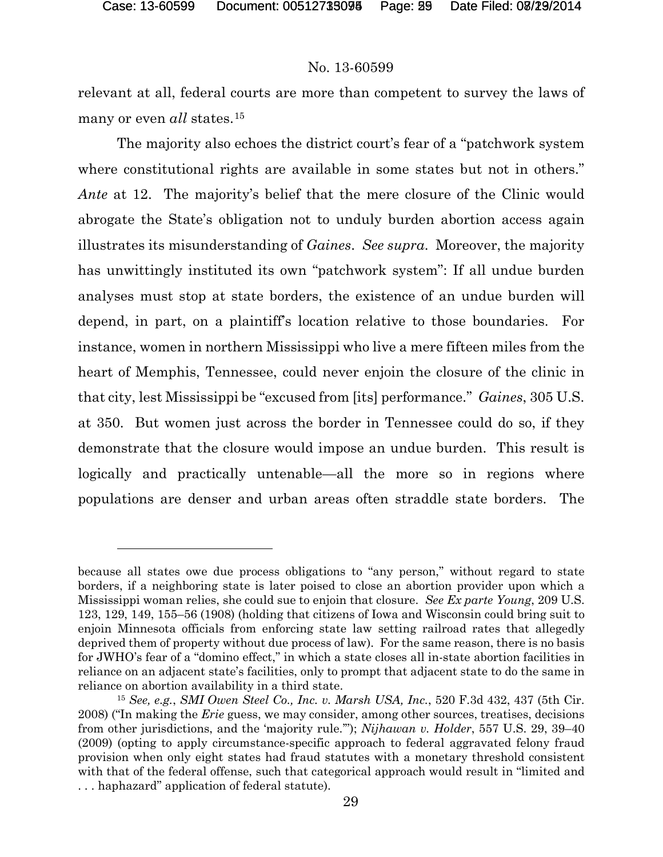l

#### No. 13-60599

relevant at all, federal courts are more than competent to survey the laws of many or even *all* states.<sup>[15](#page-54-0)</sup>

The majority also echoes the district court's fear of a "patchwork system where constitutional rights are available in some states but not in others." *Ante* at 12. The majority's belief that the mere closure of the Clinic would abrogate the State's obligation not to unduly burden abortion access again illustrates its misunderstanding of *Gaines*. *See supra*. Moreover, the majority has unwittingly instituted its own "patchwork system": If all undue burden analyses must stop at state borders, the existence of an undue burden will depend, in part, on a plaintiff's location relative to those boundaries. For instance, women in northern Mississippi who live a mere fifteen miles from the heart of Memphis, Tennessee, could never enjoin the closure of the clinic in that city, lest Mississippi be "excused from [its] performance." *Gaines*, 305 U.S. at 350. But women just across the border in Tennessee could do so, if they demonstrate that the closure would impose an undue burden. This result is logically and practically untenable—all the more so in regions where populations are denser and urban areas often straddle state borders. The

because all states owe due process obligations to "any person," without regard to state borders, if a neighboring state is later poised to close an abortion provider upon which a Mississippi woman relies, she could sue to enjoin that closure. *See Ex parte Young*, 209 U.S. 123, 129, 149, 155–56 (1908) (holding that citizens of Iowa and Wisconsin could bring suit to enjoin Minnesota officials from enforcing state law setting railroad rates that allegedly deprived them of property without due process of law). For the same reason, there is no basis for JWHO's fear of a "domino effect," in which a state closes all in-state abortion facilities in reliance on an adjacent state's facilities, only to prompt that adjacent state to do the same in reliance on abortion availability in a third state.

<span id="page-54-0"></span><sup>15</sup> *See, e.g.*, *SMI Owen Steel Co., Inc. v. Marsh USA, Inc.*, 520 F.3d 432, 437 (5th Cir. 2008) ("In making the *Erie* guess, we may consider, among other sources, treatises, decisions from other jurisdictions, and the 'majority rule.'"); *Nijhawan v. Holder*, 557 U.S. 29, 39–40 (2009) (opting to apply circumstance-specific approach to federal aggravated felony fraud provision when only eight states had fraud statutes with a monetary threshold consistent with that of the federal offense, such that categorical approach would result in "limited and . . . haphazard" application of federal statute).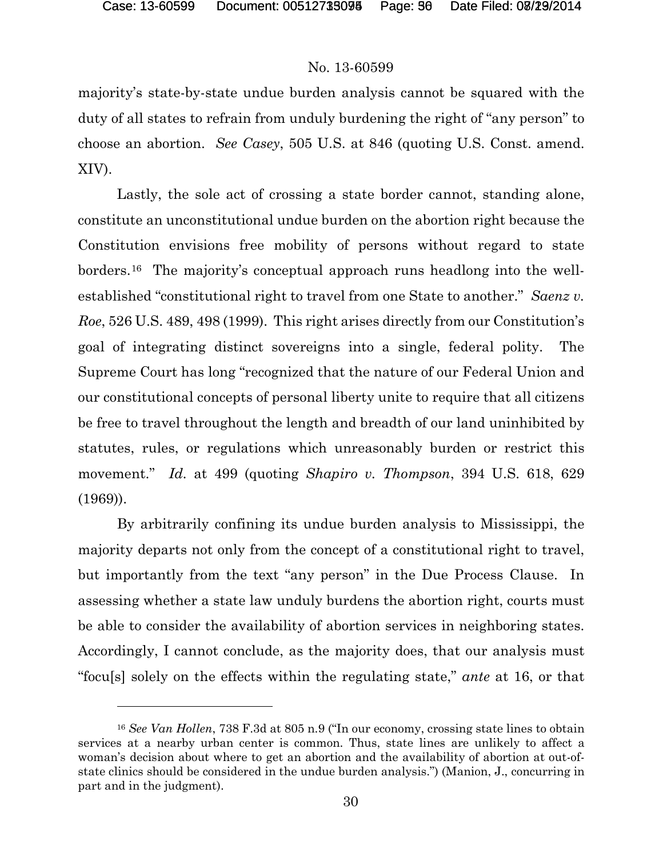l

#### No. 13-60599

majority's state-by-state undue burden analysis cannot be squared with the duty of all states to refrain from unduly burdening the right of "any person" to choose an abortion. *See Casey*, 505 U.S. at 846 (quoting U.S. Const. amend. XIV).

Lastly, the sole act of crossing a state border cannot, standing alone, constitute an unconstitutional undue burden on the abortion right because the Constitution envisions free mobility of persons without regard to state borders.[16](#page-55-0) The majority's conceptual approach runs headlong into the wellestablished "constitutional right to travel from one State to another." *Saenz v. Roe*, 526 U.S. 489, 498 (1999). This right arises directly from our Constitution's goal of integrating distinct sovereigns into a single, federal polity. The Supreme Court has long "recognized that the nature of our Federal Union and our constitutional concepts of personal liberty unite to require that all citizens be free to travel throughout the length and breadth of our land uninhibited by statutes, rules, or regulations which unreasonably burden or restrict this movement." *Id.* at 499 (quoting *Shapiro v. Thompson*, 394 U.S. 618, 629 (1969)).

By arbitrarily confining its undue burden analysis to Mississippi, the majority departs not only from the concept of a constitutional right to travel, but importantly from the text "any person" in the Due Process Clause. In assessing whether a state law unduly burdens the abortion right, courts must be able to consider the availability of abortion services in neighboring states. Accordingly, I cannot conclude, as the majority does, that our analysis must "focu[s] solely on the effects within the regulating state," *ante* at 16, or that

<span id="page-55-0"></span><sup>16</sup> *See Van Hollen*, 738 F.3d at 805 n.9 ("In our economy, crossing state lines to obtain services at a nearby urban center is common. Thus, state lines are unlikely to affect a woman's decision about where to get an abortion and the availability of abortion at out-ofstate clinics should be considered in the undue burden analysis.") (Manion, J., concurring in part and in the judgment).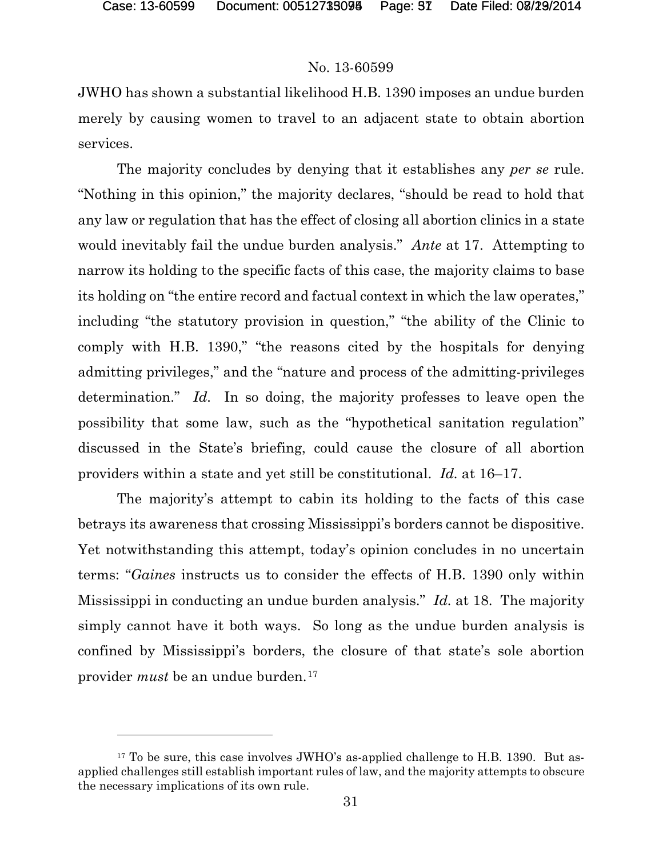### No. 13-60599

JWHO has shown a substantial likelihood H.B. 1390 imposes an undue burden merely by causing women to travel to an adjacent state to obtain abortion services.

The majority concludes by denying that it establishes any *per se* rule. "Nothing in this opinion," the majority declares, "should be read to hold that any law or regulation that has the effect of closing all abortion clinics in a state would inevitably fail the undue burden analysis." *Ante* at 17. Attempting to narrow its holding to the specific facts of this case, the majority claims to base its holding on "the entire record and factual context in which the law operates," including "the statutory provision in question," "the ability of the Clinic to comply with H.B. 1390," "the reasons cited by the hospitals for denying admitting privileges," and the "nature and process of the admitting-privileges determination." *Id.* In so doing, the majority professes to leave open the possibility that some law, such as the "hypothetical sanitation regulation" discussed in the State's briefing, could cause the closure of all abortion providers within a state and yet still be constitutional. *Id.* at 16–17.

The majority's attempt to cabin its holding to the facts of this case betrays its awareness that crossing Mississippi's borders cannot be dispositive. Yet notwithstanding this attempt, today's opinion concludes in no uncertain terms: "*Gaines* instructs us to consider the effects of H.B. 1390 only within Mississippi in conducting an undue burden analysis." *Id.* at 18. The majority simply cannot have it both ways. So long as the undue burden analysis is confined by Mississippi's borders, the closure of that state's sole abortion provider *must* be an undue burden.[17](#page-56-0)

<span id="page-56-0"></span><sup>&</sup>lt;sup>17</sup> To be sure, this case involves JWHO's as-applied challenge to H.B. 1390. But asapplied challenges still establish important rules of law, and the majority attempts to obscure the necessary implications of its own rule.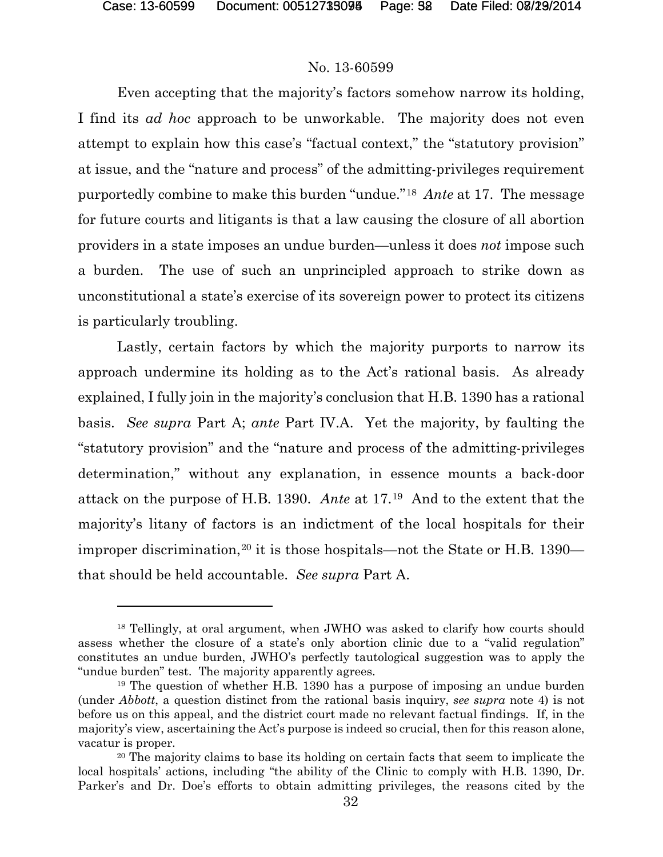### No. 13-60599

Even accepting that the majority's factors somehow narrow its holding, I find its *ad hoc* approach to be unworkable. The majority does not even attempt to explain how this case's "factual context," the "statutory provision" at issue, and the "nature and process" of the admitting-privileges requirement purportedly combine to make this burden "undue."[18](#page-57-0) *Ante* at 17. The message for future courts and litigants is that a law causing the closure of all abortion providers in a state imposes an undue burden—unless it does *not* impose such a burden. The use of such an unprincipled approach to strike down as unconstitutional a state's exercise of its sovereign power to protect its citizens is particularly troubling.

Lastly, certain factors by which the majority purports to narrow its approach undermine its holding as to the Act's rational basis. As already explained, I fully join in the majority's conclusion that H.B. 1390 has a rational basis. *See supra* Part A; *ante* Part IV.A. Yet the majority, by faulting the "statutory provision" and the "nature and process of the admitting-privileges determination," without any explanation, in essence mounts a back-door attack on the purpose of H.B. 1390. *Ante* at 17.[19](#page-57-1) And to the extent that the majority's litany of factors is an indictment of the local hospitals for their improper discrimination,<sup>[20](#page-57-2)</sup> it is those hospitals—not the State or H.B.  $1390$ that should be held accountable. *See supra* Part A.

<span id="page-57-0"></span><sup>18</sup> Tellingly, at oral argument, when JWHO was asked to clarify how courts should assess whether the closure of a state's only abortion clinic due to a "valid regulation" constitutes an undue burden, JWHO's perfectly tautological suggestion was to apply the "undue burden" test. The majority apparently agrees.

<span id="page-57-1"></span><sup>19</sup> The question of whether H.B. 1390 has a purpose of imposing an undue burden (under *Abbott*, a question distinct from the rational basis inquiry, *see supra* note 4) is not before us on this appeal, and the district court made no relevant factual findings. If, in the majority's view, ascertaining the Act's purpose is indeed so crucial, then for this reason alone, vacatur is proper.

<span id="page-57-2"></span><sup>&</sup>lt;sup>20</sup> The majority claims to base its holding on certain facts that seem to implicate the local hospitals' actions, including "the ability of the Clinic to comply with H.B. 1390, Dr. Parker's and Dr. Doe's efforts to obtain admitting privileges, the reasons cited by the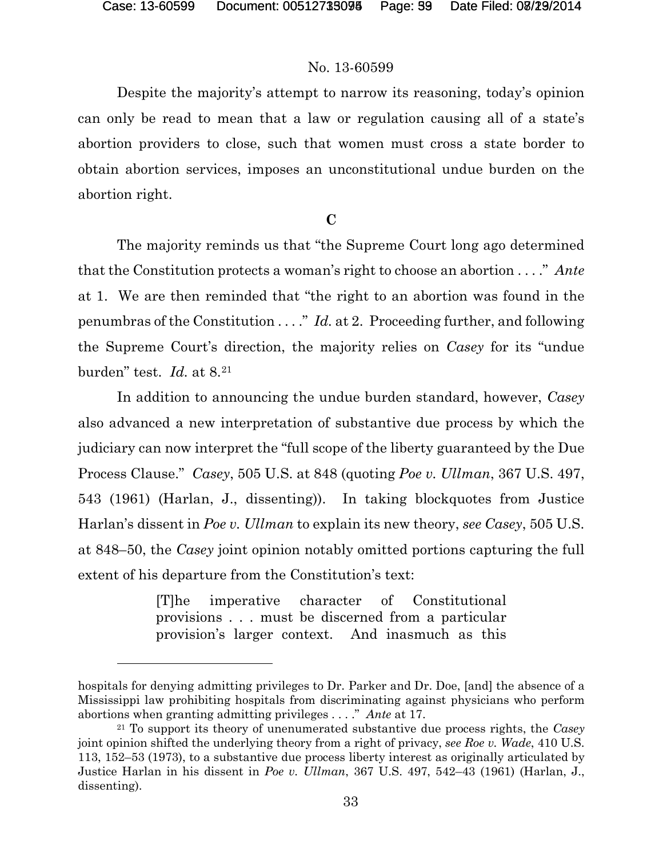#### No. 13-60599

Despite the majority's attempt to narrow its reasoning, today's opinion can only be read to mean that a law or regulation causing all of a state's abortion providers to close, such that women must cross a state border to obtain abortion services, imposes an unconstitutional undue burden on the abortion right.

### **C**

The majority reminds us that "the Supreme Court long ago determined that the Constitution protects a woman's right to choose an abortion . . . ." *Ante* at 1. We are then reminded that "the right to an abortion was found in the penumbras of the Constitution . . . ." *Id.* at 2. Proceeding further, and following the Supreme Court's direction, the majority relies on *Casey* for its "undue burden" test. *Id.* at 8.[21](#page-58-0)

In addition to announcing the undue burden standard, however, *Casey*  also advanced a new interpretation of substantive due process by which the judiciary can now interpret the "full scope of the liberty guaranteed by the Due Process Clause." *Casey*, 505 U.S. at 848 (quoting *Poe v. Ullman*, 367 U.S. 497, 543 (1961) (Harlan, J., dissenting)). In taking blockquotes from Justice Harlan's dissent in *Poe v. Ullman* to explain its new theory, *see Casey*, 505 U.S. at 848–50, the *Casey* joint opinion notably omitted portions capturing the full extent of his departure from the Constitution's text:

> [T]he imperative character of Constitutional provisions . . . must be discerned from a particular provision's larger context. And inasmuch as this

hospitals for denying admitting privileges to Dr. Parker and Dr. Doe, [and] the absence of a Mississippi law prohibiting hospitals from discriminating against physicians who perform abortions when granting admitting privileges . . . ." *Ante* at 17.

<span id="page-58-0"></span><sup>21</sup> To support its theory of unenumerated substantive due process rights, the *Casey* joint opinion shifted the underlying theory from a right of privacy, *see Roe v. Wade*, 410 U.S. 113, 152–53 (1973), to a substantive due process liberty interest as originally articulated by Justice Harlan in his dissent in *Poe v. Ullman*, 367 U.S. 497, 542–43 (1961) (Harlan, J., dissenting).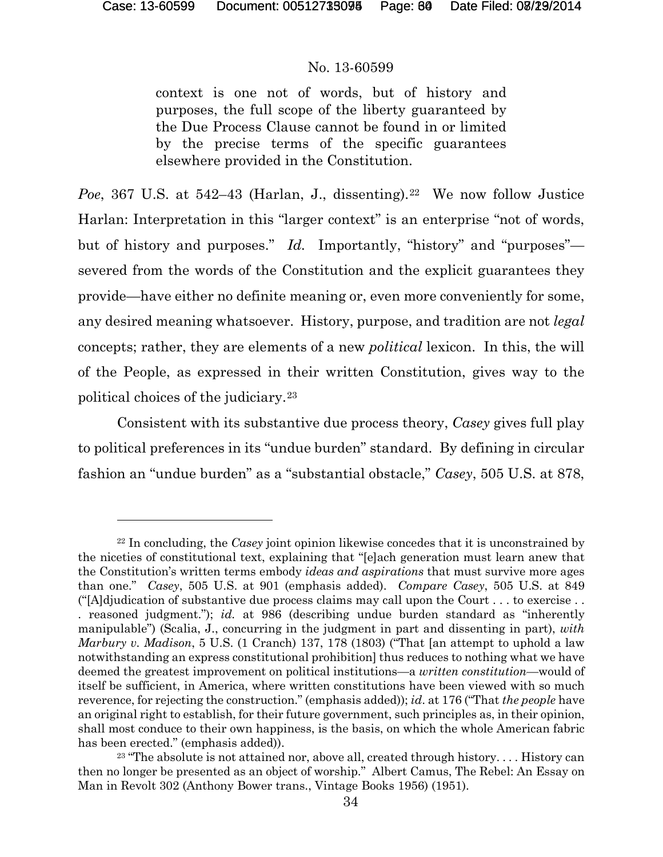#### No. 13-60599

context is one not of words, but of history and purposes, the full scope of the liberty guaranteed by the Due Process Clause cannot be found in or limited by the precise terms of the specific guarantees elsewhere provided in the Constitution.

*Poe*, 367 U.S. at 542–43 (Harlan, J., dissenting).<sup>22</sup> We now follow Justice Harlan: Interpretation in this "larger context" is an enterprise "not of words, but of history and purposes." *Id.* Importantly, "history" and "purposes" severed from the words of the Constitution and the explicit guarantees they provide—have either no definite meaning or, even more conveniently for some, any desired meaning whatsoever. History, purpose, and tradition are not *legal* concepts; rather, they are elements of a new *political* lexicon. In this, the will of the People, as expressed in their written Constitution, gives way to the political choices of the judiciary.[23](#page-59-1)

Consistent with its substantive due process theory, *Casey* gives full play to political preferences in its "undue burden" standard. By defining in circular fashion an "undue burden" as a "substantial obstacle," *Casey*, 505 U.S. at 878,

<span id="page-59-0"></span><sup>22</sup> In concluding, the *Casey* joint opinion likewise concedes that it is unconstrained by the niceties of constitutional text, explaining that "[e]ach generation must learn anew that the Constitution's written terms embody *ideas and aspirations* that must survive more ages than one." *Casey*, 505 U.S. at 901 (emphasis added). *Compare Casey*, 505 U.S. at 849 (" $[A]$ djudication of substantive due process claims may call upon the Court  $\dots$  to exercise  $\dots$ . reasoned judgment."); *id.* at 986 (describing undue burden standard as "inherently manipulable") (Scalia, J., concurring in the judgment in part and dissenting in part), *with Marbury v. Madison*, 5 U.S. (1 Cranch) 137, 178 (1803) ("That [an attempt to uphold a law notwithstanding an express constitutional prohibition] thus reduces to nothing what we have deemed the greatest improvement on political institutions—a *written constitution*—would of itself be sufficient, in America, where written constitutions have been viewed with so much reverence, for rejecting the construction." (emphasis added)); *id*. at 176 ("That *the people* have an original right to establish, for their future government, such principles as, in their opinion, shall most conduce to their own happiness, is the basis, on which the whole American fabric has been erected." (emphasis added)).

<span id="page-59-1"></span> $23$  "The absolute is not attained nor, above all, created through history.... History can then no longer be presented as an object of worship." Albert Camus, The Rebel: An Essay on Man in Revolt 302 (Anthony Bower trans., Vintage Books 1956) (1951).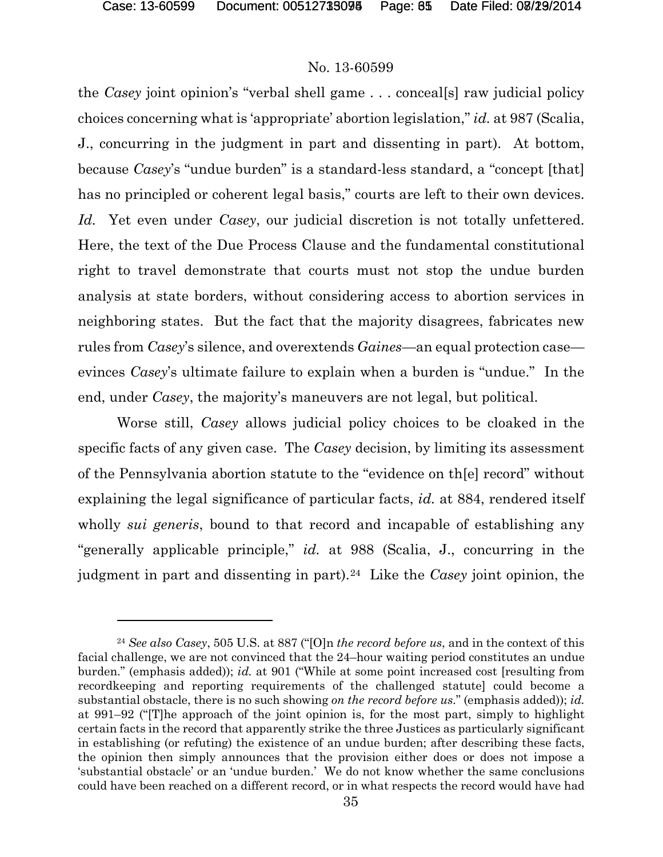### No. 13-60599

the *Casey* joint opinion's "verbal shell game . . . conceal[s] raw judicial policy choices concerning what is 'appropriate' abortion legislation," *id.* at 987 (Scalia, J., concurring in the judgment in part and dissenting in part). At bottom, because *Casey*'s "undue burden" is a standard-less standard, a "concept [that] has no principled or coherent legal basis," courts are left to their own devices. *Id.* Yet even under *Casey*, our judicial discretion is not totally unfettered. Here, the text of the Due Process Clause and the fundamental constitutional right to travel demonstrate that courts must not stop the undue burden analysis at state borders, without considering access to abortion services in neighboring states. But the fact that the majority disagrees, fabricates new rules from *Casey*'s silence, and overextends *Gaines*—an equal protection case evinces *Casey*'s ultimate failure to explain when a burden is "undue." In the end, under *Casey*, the majority's maneuvers are not legal, but political.

Worse still, *Casey* allows judicial policy choices to be cloaked in the specific facts of any given case. The *Casey* decision, by limiting its assessment of the Pennsylvania abortion statute to the "evidence on th[e] record" without explaining the legal significance of particular facts, *id.* at 884, rendered itself wholly *sui generis*, bound to that record and incapable of establishing any "generally applicable principle," *id.* at 988 (Scalia, J., concurring in the judgment in part and dissenting in part).[24](#page-60-0) Like the *Casey* joint opinion, the

<span id="page-60-0"></span><sup>24</sup> *See also Casey*, 505 U.S. at 887 ("[O]n *the record before us*, and in the context of this facial challenge, we are not convinced that the 24–hour waiting period constitutes an undue burden." (emphasis added)); *id.* at 901 ("While at some point increased cost [resulting from recordkeeping and reporting requirements of the challenged statute] could become a substantial obstacle, there is no such showing *on the record before us*." (emphasis added)); *id.*  at 991–92 ("[T]he approach of the joint opinion is, for the most part, simply to highlight certain facts in the record that apparently strike the three Justices as particularly significant in establishing (or refuting) the existence of an undue burden; after describing these facts, the opinion then simply announces that the provision either does or does not impose a 'substantial obstacle' or an 'undue burden.' We do not know whether the same conclusions could have been reached on a different record, or in what respects the record would have had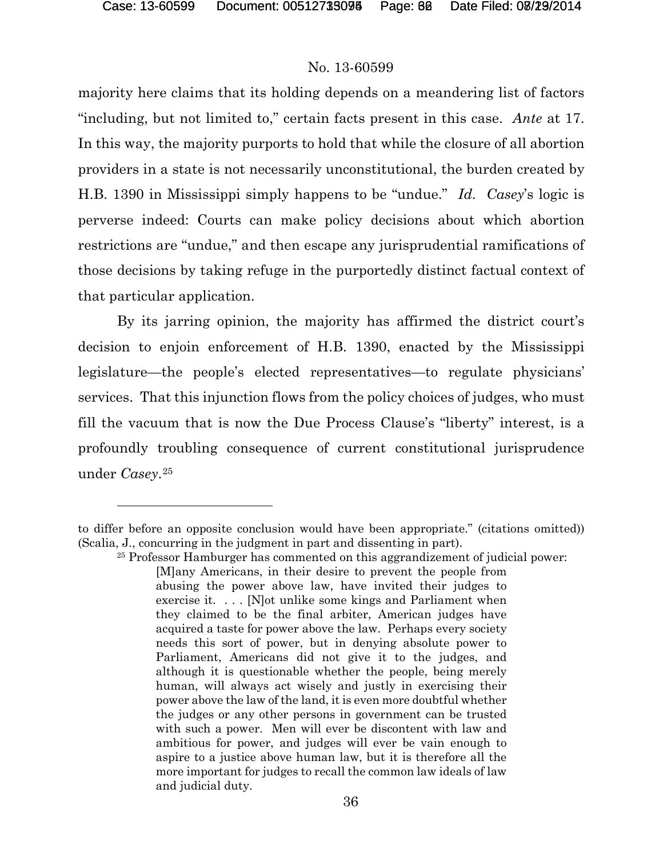#### No. 13-60599

majority here claims that its holding depends on a meandering list of factors "including, but not limited to," certain facts present in this case. *Ante* at 17. In this way, the majority purports to hold that while the closure of all abortion providers in a state is not necessarily unconstitutional, the burden created by H.B. 1390 in Mississippi simply happens to be "undue." *Id. Casey*'s logic is perverse indeed: Courts can make policy decisions about which abortion restrictions are "undue," and then escape any jurisprudential ramifications of those decisions by taking refuge in the purportedly distinct factual context of that particular application.

By its jarring opinion, the majority has affirmed the district court's decision to enjoin enforcement of H.B. 1390, enacted by the Mississippi legislature—the people's elected representatives—to regulate physicians' services. That this injunction flows from the policy choices of judges, who must fill the vacuum that is now the Due Process Clause's "liberty" interest, is a profoundly troubling consequence of current constitutional jurisprudence under *Casey*.[25](#page-61-0) 

<span id="page-61-0"></span>to differ before an opposite conclusion would have been appropriate." (citations omitted)) (Scalia, J., concurring in the judgment in part and dissenting in part).

<sup>25</sup> Professor Hamburger has commented on this aggrandizement of judicial power: [M]any Americans, in their desire to prevent the people from abusing the power above law, have invited their judges to exercise it. . . . [N]ot unlike some kings and Parliament when they claimed to be the final arbiter, American judges have acquired a taste for power above the law. Perhaps every society needs this sort of power, but in denying absolute power to Parliament, Americans did not give it to the judges, and although it is questionable whether the people, being merely human, will always act wisely and justly in exercising their power above the law of the land, it is even more doubtful whether the judges or any other persons in government can be trusted with such a power. Men will ever be discontent with law and ambitious for power, and judges will ever be vain enough to aspire to a justice above human law, but it is therefore all the more important for judges to recall the common law ideals of law and judicial duty.